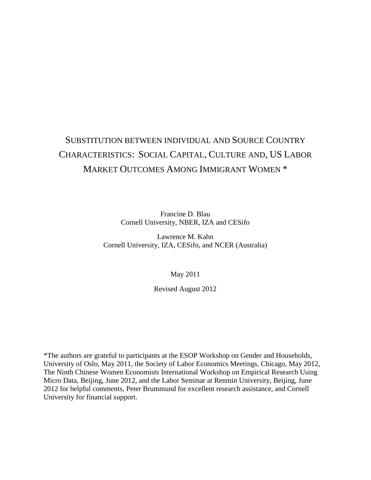# SUBSTITUTION BETWEEN INDIVIDUAL AND SOURCE COUNTRY CHARACTERISTICS: SOCIAL CAPITAL, CULTURE AND, US LABOR MARKET OUTCOMES AMONG IMMIGRANT WOMEN \*

Francine D. Blau Cornell University, NBER, IZA and CESifo

Lawrence M. Kahn Cornell University, IZA, CESifo, and NCER (Australia)

May 2011

Revised August 2012

\*The authors are grateful to participants at the ESOP Workshop on Gender and Households, University of Oslo, May 2011, the Society of Labor Economics Meetings, Chicago, May 2012, The Ninth Chinese Women Economists International Workshop on Empirical Research Using Micro Data, Beijing, June 2012, and the Labor Seminar at Renmin University, Beijing, June 2012 for helpful comments, Peter Brummund for excellent research assistance, and Cornell University for financial support.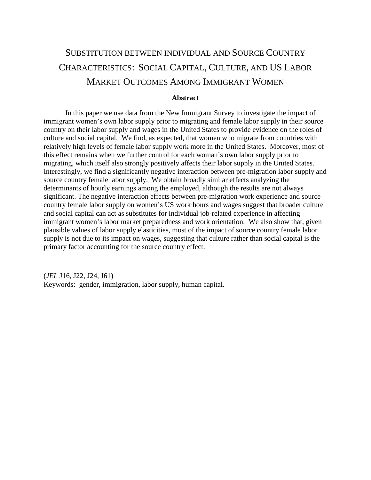# SUBSTITUTION BETWEEN INDIVIDUAL AND SOURCE COUNTRY CHARACTERISTICS: SOCIAL CAPITAL, CULTURE, AND US LABOR MARKET OUTCOMES AMONG IMMIGRANT WOMEN

## **Abstract**

In this paper we use data from the New Immigrant Survey to investigate the impact of immigrant women's own labor supply prior to migrating and female labor supply in their source country on their labor supply and wages in the United States to provide evidence on the roles of culture and social capital. We find, as expected, that women who migrate from countries with relatively high levels of female labor supply work more in the United States. Moreover, most of this effect remains when we further control for each woman's own labor supply prior to migrating, which itself also strongly positively affects their labor supply in the United States. Interestingly, we find a significantly negative interaction between pre-migration labor supply and source country female labor supply. We obtain broadly similar effects analyzing the determinants of hourly earnings among the employed, although the results are not always significant. The negative interaction effects between pre-migration work experience and source country female labor supply on women's US work hours and wages suggest that broader culture and social capital can act as substitutes for individual job-related experience in affecting immigrant women's labor market preparedness and work orientation. We also show that, given plausible values of labor supply elasticities, most of the impact of source country female labor supply is not due to its impact on wages, suggesting that culture rather than social capital is the primary factor accounting for the source country effect.

(*JEL* J16, J22, J24, J61) Keywords: gender, immigration, labor supply, human capital.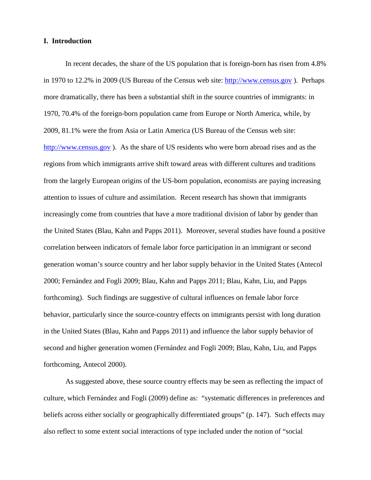# **I. Introduction**

In recent decades, the share of the US population that is foreign-born has risen from 4.8% in 1970 to 12.2% in 2009 (US Bureau of the Census web site: [http://www.census.gov](http://www.census.gov/) ). Perhaps more dramatically, there has been a substantial shift in the source countries of immigrants: in 1970, 70.4% of the foreign-born population came from Europe or North America, while, by 2009, 81.1% were the from Asia or Latin America (US Bureau of the Census web site: [http://www.census.gov](http://www.census.gov/) ). As the share of US residents who were born abroad rises and as the regions from which immigrants arrive shift toward areas with different cultures and traditions from the largely European origins of the US-born population, economists are paying increasing attention to issues of culture and assimilation. Recent research has shown that immigrants increasingly come from countries that have a more traditional division of labor by gender than the United States (Blau, Kahn and Papps 2011). Moreover, several studies have found a positive correlation between indicators of female labor force participation in an immigrant or second generation woman's source country and her labor supply behavior in the United States (Antecol 2000; Fernández and Fogli 2009; Blau, Kahn and Papps 2011; Blau, Kahn, Liu, and Papps forthcoming). Such findings are suggestive of cultural influences on female labor force behavior, particularly since the source-country effects on immigrants persist with long duration in the United States (Blau, Kahn and Papps 2011) and influence the labor supply behavior of second and higher generation women (Fernández and Fogli 2009; Blau, Kahn, Liu, and Papps forthcoming, Antecol 2000).

As suggested above, these source country effects may be seen as reflecting the impact of culture, which Fernández and Fogli (2009) define as: "systematic differences in preferences and beliefs across either socially or geographically differentiated groups" (p. 147). Such effects may also reflect to some extent social interactions of type included under the notion of "social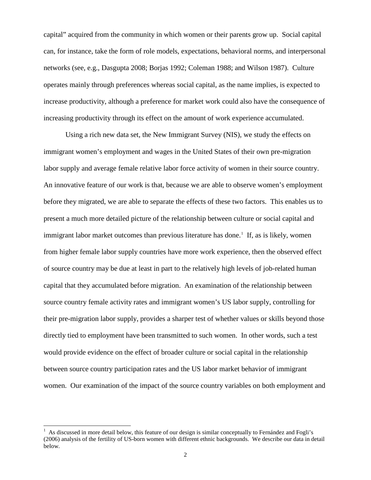capital" acquired from the community in which women or their parents grow up. Social capital can, for instance, take the form of role models, expectations, behavioral norms, and interpersonal networks (see, e.g., Dasgupta 2008; Borjas 1992; Coleman 1988; and Wilson 1987). Culture operates mainly through preferences whereas social capital, as the name implies, is expected to increase productivity, although a preference for market work could also have the consequence of increasing productivity through its effect on the amount of work experience accumulated.

Using a rich new data set, the New Immigrant Survey (NIS), we study the effects on immigrant women's employment and wages in the United States of their own pre-migration labor supply and average female relative labor force activity of women in their source country. An innovative feature of our work is that, because we are able to observe women's employment before they migrated, we are able to separate the effects of these two factors. This enables us to present a much more detailed picture of the relationship between culture or social capital and immigrant labor market outcomes than previous literature has done.<sup>[1](#page-3-0)</sup> If, as is likely, women from higher female labor supply countries have more work experience, then the observed effect of source country may be due at least in part to the relatively high levels of job-related human capital that they accumulated before migration. An examination of the relationship between source country female activity rates and immigrant women's US labor supply, controlling for their pre-migration labor supply, provides a sharper test of whether values or skills beyond those directly tied to employment have been transmitted to such women. In other words, such a test would provide evidence on the effect of broader culture or social capital in the relationship between source country participation rates and the US labor market behavior of immigrant women. Our examination of the impact of the source country variables on both employment and

<span id="page-3-0"></span><sup>|&</sup>lt;br>|<br>| As discussed in more detail below, this feature of our design is similar conceptually to Fernández and Fogli's (2006) analysis of the fertility of US-born women with different ethnic backgrounds. We describe our data in detail below.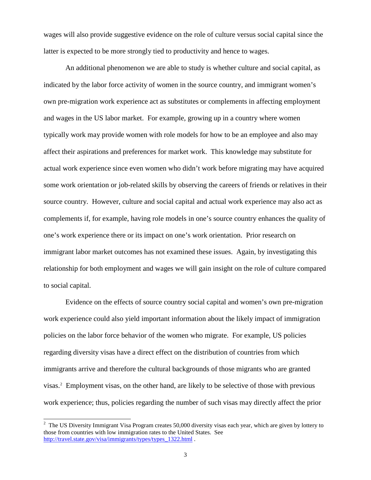wages will also provide suggestive evidence on the role of culture versus social capital since the latter is expected to be more strongly tied to productivity and hence to wages.

An additional phenomenon we are able to study is whether culture and social capital, as indicated by the labor force activity of women in the source country, and immigrant women's own pre-migration work experience act as substitutes or complements in affecting employment and wages in the US labor market. For example, growing up in a country where women typically work may provide women with role models for how to be an employee and also may affect their aspirations and preferences for market work. This knowledge may substitute for actual work experience since even women who didn't work before migrating may have acquired some work orientation or job-related skills by observing the careers of friends or relatives in their source country. However, culture and social capital and actual work experience may also act as complements if, for example, having role models in one's source country enhances the quality of one's work experience there or its impact on one's work orientation. Prior research on immigrant labor market outcomes has not examined these issues. Again, by investigating this relationship for both employment and wages we will gain insight on the role of culture compared to social capital.

Evidence on the effects of source country social capital and women's own pre-migration work experience could also yield important information about the likely impact of immigration policies on the labor force behavior of the women who migrate. For example, US policies regarding diversity visas have a direct effect on the distribution of countries from which immigrants arrive and therefore the cultural backgrounds of those migrants who are granted visas. [2](#page-4-0) Employment visas, on the other hand, are likely to be selective of those with previous work experience; thus, policies regarding the number of such visas may directly affect the prior

<span id="page-4-0"></span><sup>&</sup>lt;sup>2</sup> The US Diversity Immigrant Visa Program creates 50,000 diversity visas each year, which are given by lottery to those from countries with low immigration rates to the United States. See [http://travel.state.gov/visa/immigrants/types/types\\_1322.html](http://travel.state.gov/visa/immigrants/types/types_1322.html) .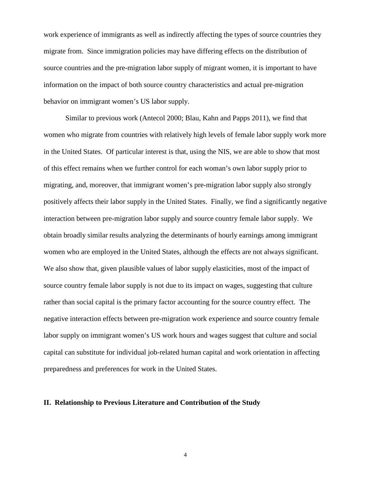work experience of immigrants as well as indirectly affecting the types of source countries they migrate from. Since immigration policies may have differing effects on the distribution of source countries and the pre-migration labor supply of migrant women, it is important to have information on the impact of both source country characteristics and actual pre-migration behavior on immigrant women's US labor supply.

Similar to previous work (Antecol 2000; Blau, Kahn and Papps 2011), we find that women who migrate from countries with relatively high levels of female labor supply work more in the United States. Of particular interest is that, using the NIS, we are able to show that most of this effect remains when we further control for each woman's own labor supply prior to migrating, and, moreover, that immigrant women's pre-migration labor supply also strongly positively affects their labor supply in the United States. Finally, we find a significantly negative interaction between pre-migration labor supply and source country female labor supply. We obtain broadly similar results analyzing the determinants of hourly earnings among immigrant women who are employed in the United States, although the effects are not always significant. We also show that, given plausible values of labor supply elasticities, most of the impact of source country female labor supply is not due to its impact on wages, suggesting that culture rather than social capital is the primary factor accounting for the source country effect. The negative interaction effects between pre-migration work experience and source country female labor supply on immigrant women's US work hours and wages suggest that culture and social capital can substitute for individual job-related human capital and work orientation in affecting preparedness and preferences for work in the United States.

## **II. Relationship to Previous Literature and Contribution of the Study**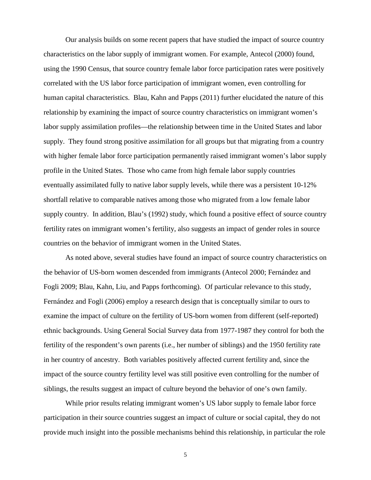Our analysis builds on some recent papers that have studied the impact of source country characteristics on the labor supply of immigrant women. For example, Antecol (2000) found, using the 1990 Census, that source country female labor force participation rates were positively correlated with the US labor force participation of immigrant women, even controlling for human capital characteristics. Blau, Kahn and Papps (2011) further elucidated the nature of this relationship by examining the impact of source country characteristics on immigrant women's labor supply assimilation profiles—the relationship between time in the United States and labor supply. They found strong positive assimilation for all groups but that migrating from a country with higher female labor force participation permanently raised immigrant women's labor supply profile in the United States. Those who came from high female labor supply countries eventually assimilated fully to native labor supply levels, while there was a persistent 10-12% shortfall relative to comparable natives among those who migrated from a low female labor supply country. In addition, Blau's (1992) study, which found a positive effect of source country fertility rates on immigrant women's fertility, also suggests an impact of gender roles in source countries on the behavior of immigrant women in the United States.

As noted above, several studies have found an impact of source country characteristics on the behavior of US-born women descended from immigrants (Antecol 2000; Fernández and Fogli 2009; Blau, Kahn, Liu, and Papps forthcoming). Of particular relevance to this study, Fernández and Fogli (2006) employ a research design that is conceptually similar to ours to examine the impact of culture on the fertility of US-born women from different (self-reported) ethnic backgrounds. Using General Social Survey data from 1977-1987 they control for both the fertility of the respondent's own parents (i.e., her number of siblings) and the 1950 fertility rate in her country of ancestry. Both variables positively affected current fertility and, since the impact of the source country fertility level was still positive even controlling for the number of siblings, the results suggest an impact of culture beyond the behavior of one's own family.

While prior results relating immigrant women's US labor supply to female labor force participation in their source countries suggest an impact of culture or social capital, they do not provide much insight into the possible mechanisms behind this relationship, in particular the role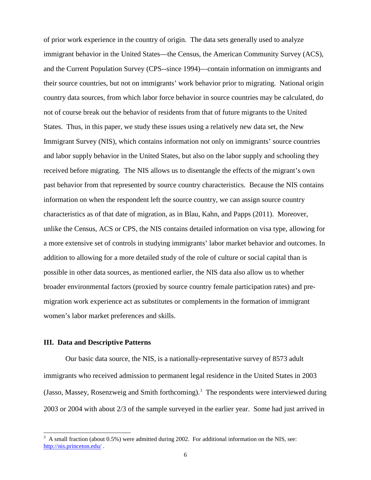of prior work experience in the country of origin. The data sets generally used to analyze immigrant behavior in the United States—the Census, the American Community Survey (ACS), and the Current Population Survey (CPS--since 1994)—contain information on immigrants and their source countries, but not on immigrants' work behavior prior to migrating. National origin country data sources, from which labor force behavior in source countries may be calculated, do not of course break out the behavior of residents from that of future migrants to the United States. Thus, in this paper, we study these issues using a relatively new data set, the New Immigrant Survey (NIS), which contains information not only on immigrants' source countries and labor supply behavior in the United States, but also on the labor supply and schooling they received before migrating. The NIS allows us to disentangle the effects of the migrant's own past behavior from that represented by source country characteristics. Because the NIS contains information on when the respondent left the source country, we can assign source country characteristics as of that date of migration, as in Blau, Kahn, and Papps (2011). Moreover, unlike the Census, ACS or CPS, the NIS contains detailed information on visa type, allowing for a more extensive set of controls in studying immigrants' labor market behavior and outcomes. In addition to allowing for a more detailed study of the role of culture or social capital than is possible in other data sources, as mentioned earlier, the NIS data also allow us to whether broader environmental factors (proxied by source country female participation rates) and premigration work experience act as substitutes or complements in the formation of immigrant women's labor market preferences and skills.

# **III. Data and Descriptive Patterns**

Our basic data source, the NIS, is a nationally-representative survey of 8573 adult immigrants who received admission to permanent legal residence in the United States in 2003 (Jasso, Massey, Rosenzweig and Smith forthcoming). [3](#page-7-0) The respondents were interviewed during 2003 or 2004 with about 2/3 of the sample surveyed in the earlier year. Some had just arrived in

<span id="page-7-0"></span> <sup>3</sup> A small fraction (about 0.5%) were admitted during 2002. For additional information on the NIS, see: <http://nis.princeton.edu/> .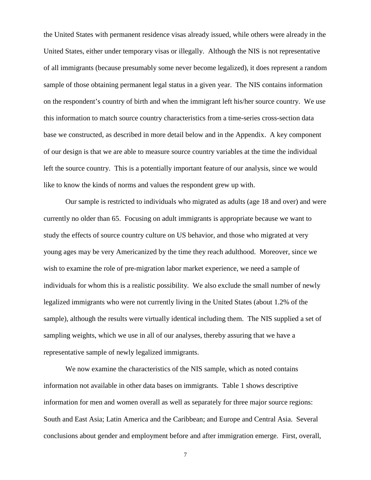the United States with permanent residence visas already issued, while others were already in the United States, either under temporary visas or illegally. Although the NIS is not representative of all immigrants (because presumably some never become legalized), it does represent a random sample of those obtaining permanent legal status in a given year. The NIS contains information on the respondent's country of birth and when the immigrant left his/her source country. We use this information to match source country characteristics from a time-series cross-section data base we constructed, as described in more detail below and in the Appendix. A key component of our design is that we are able to measure source country variables at the time the individual left the source country. This is a potentially important feature of our analysis, since we would like to know the kinds of norms and values the respondent grew up with.

Our sample is restricted to individuals who migrated as adults (age 18 and over) and were currently no older than 65. Focusing on adult immigrants is appropriate because we want to study the effects of source country culture on US behavior, and those who migrated at very young ages may be very Americanized by the time they reach adulthood. Moreover, since we wish to examine the role of pre-migration labor market experience, we need a sample of individuals for whom this is a realistic possibility. We also exclude the small number of newly legalized immigrants who were not currently living in the United States (about 1.2% of the sample), although the results were virtually identical including them. The NIS supplied a set of sampling weights, which we use in all of our analyses, thereby assuring that we have a representative sample of newly legalized immigrants.

We now examine the characteristics of the NIS sample, which as noted contains information not available in other data bases on immigrants. Table 1 shows descriptive information for men and women overall as well as separately for three major source regions: South and East Asia; Latin America and the Caribbean; and Europe and Central Asia. Several conclusions about gender and employment before and after immigration emerge. First, overall,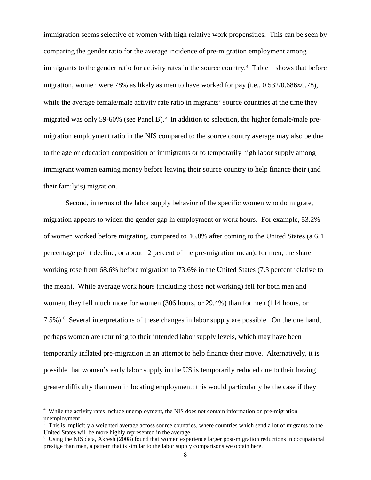immigration seems selective of women with high relative work propensities. This can be seen by comparing the gender ratio for the average incidence of pre-migration employment among immigrants to the gender ratio for activity rates in the source country.<sup>[4](#page-9-0)</sup> Table 1 shows that before migration, women were 78% as likely as men to have worked for pay (i.e., 0.532/0.686≈0.78), while the average female/male activity rate ratio in migrants' source countries at the time they migrated was only [5](#page-9-1)9-60% (see Panel B).<sup>5</sup> In addition to selection, the higher female/male premigration employment ratio in the NIS compared to the source country average may also be due to the age or education composition of immigrants or to temporarily high labor supply among immigrant women earning money before leaving their source country to help finance their (and their family's) migration.

Second, in terms of the labor supply behavior of the specific women who do migrate, migration appears to widen the gender gap in employment or work hours. For example, 53.2% of women worked before migrating, compared to 46.8% after coming to the United States (a 6.4 percentage point decline, or about 12 percent of the pre-migration mean); for men, the share working rose from 68.6% before migration to 73.6% in the United States (7.3 percent relative to the mean). While average work hours (including those not working) fell for both men and women, they fell much more for women (306 hours, or 29.4%) than for men (114 hours, or 7.5%).<sup>[6](#page-9-2)</sup> Several interpretations of these changes in labor supply are possible. On the one hand, perhaps women are returning to their intended labor supply levels, which may have been temporarily inflated pre-migration in an attempt to help finance their move. Alternatively, it is possible that women's early labor supply in the US is temporarily reduced due to their having greater difficulty than men in locating employment; this would particularly be the case if they

<span id="page-9-0"></span> <sup>4</sup> While the activity rates include unemployment, the NIS does not contain information on pre-migration unemployment.

<span id="page-9-1"></span><sup>&</sup>lt;sup>5</sup> This is implicitly a weighted average across source countries, where countries which send a lot of migrants to the United States will be more highly represented in the average.

<span id="page-9-2"></span><sup>&</sup>lt;sup>6</sup> Using the NIS data, Akresh (2008) found that women experience larger post-migration reductions in occupational prestige than men, a pattern that is similar to the labor supply comparisons we obtain here.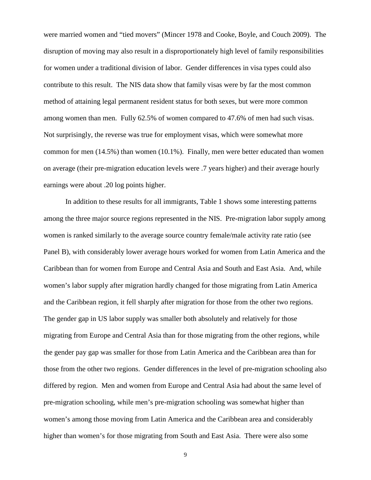were married women and "tied movers" (Mincer 1978 and Cooke, Boyle, and Couch 2009). The disruption of moving may also result in a disproportionately high level of family responsibilities for women under a traditional division of labor. Gender differences in visa types could also contribute to this result. The NIS data show that family visas were by far the most common method of attaining legal permanent resident status for both sexes, but were more common among women than men. Fully 62.5% of women compared to 47.6% of men had such visas. Not surprisingly, the reverse was true for employment visas, which were somewhat more common for men (14.5%) than women (10.1%). Finally, men were better educated than women on average (their pre-migration education levels were .7 years higher) and their average hourly earnings were about .20 log points higher.

In addition to these results for all immigrants, Table 1 shows some interesting patterns among the three major source regions represented in the NIS. Pre-migration labor supply among women is ranked similarly to the average source country female/male activity rate ratio (see Panel B), with considerably lower average hours worked for women from Latin America and the Caribbean than for women from Europe and Central Asia and South and East Asia. And, while women's labor supply after migration hardly changed for those migrating from Latin America and the Caribbean region, it fell sharply after migration for those from the other two regions. The gender gap in US labor supply was smaller both absolutely and relatively for those migrating from Europe and Central Asia than for those migrating from the other regions, while the gender pay gap was smaller for those from Latin America and the Caribbean area than for those from the other two regions. Gender differences in the level of pre-migration schooling also differed by region. Men and women from Europe and Central Asia had about the same level of pre-migration schooling, while men's pre-migration schooling was somewhat higher than women's among those moving from Latin America and the Caribbean area and considerably higher than women's for those migrating from South and East Asia. There were also some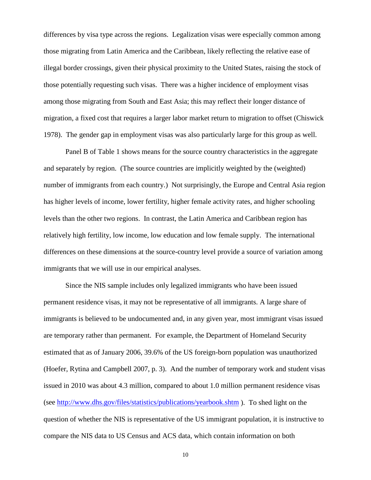differences by visa type across the regions. Legalization visas were especially common among those migrating from Latin America and the Caribbean, likely reflecting the relative ease of illegal border crossings, given their physical proximity to the United States, raising the stock of those potentially requesting such visas. There was a higher incidence of employment visas among those migrating from South and East Asia; this may reflect their longer distance of migration, a fixed cost that requires a larger labor market return to migration to offset (Chiswick 1978). The gender gap in employment visas was also particularly large for this group as well.

Panel B of Table 1 shows means for the source country characteristics in the aggregate and separately by region. (The source countries are implicitly weighted by the (weighted) number of immigrants from each country.) Not surprisingly, the Europe and Central Asia region has higher levels of income, lower fertility, higher female activity rates, and higher schooling levels than the other two regions. In contrast, the Latin America and Caribbean region has relatively high fertility, low income, low education and low female supply. The international differences on these dimensions at the source-country level provide a source of variation among immigrants that we will use in our empirical analyses.

Since the NIS sample includes only legalized immigrants who have been issued permanent residence visas, it may not be representative of all immigrants. A large share of immigrants is believed to be undocumented and, in any given year, most immigrant visas issued are temporary rather than permanent. For example, the Department of Homeland Security estimated that as of January 2006, 39.6% of the US foreign-born population was unauthorized (Hoefer, Rytina and Campbell 2007, p. 3). And the number of temporary work and student visas issued in 2010 was about 4.3 million, compared to about 1.0 million permanent residence visas (see<http://www.dhs.gov/files/statistics/publications/yearbook.shtm> ). To shed light on the question of whether the NIS is representative of the US immigrant population, it is instructive to compare the NIS data to US Census and ACS data, which contain information on both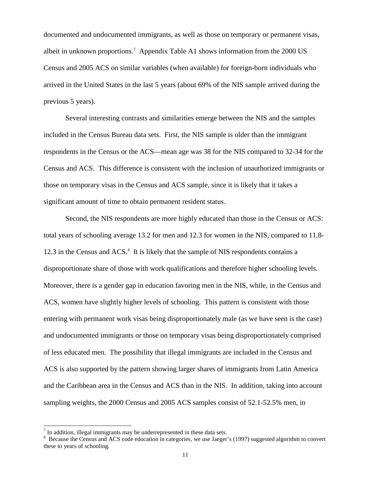documented and undocumented immigrants, as well as those on temporary or permanent visas, albeit in unknown proportions.<sup>[7](#page-12-0)</sup> Appendix Table A1 shows information from the 2000 US Census and 2005 ACS on similar variables (when available) for foreign-born individuals who arrived in the United States in the last 5 years (about 69% of the NIS sample arrived during the previous 5 years).

Several interesting contrasts and similarities emerge between the NIS and the samples included in the Census Bureau data sets. First, the NIS sample is older than the immigrant respondents in the Census or the ACS—mean age was 38 for the NIS compared to 32-34 for the Census and ACS. This difference is consistent with the inclusion of unauthorized immigrants or those on temporary visas in the Census and ACS sample, since it is likely that it takes a significant amount of time to obtain permanent resident status.

Second, the NIS respondents are more highly educated than those in the Census or ACS: total years of schooling average 13.2 for men and 12.3 for women in the NIS, compared to 11.8- 12.3 in the Census and ACS.<sup>[8](#page-12-1)</sup> It is likely that the sample of NIS respondents contains a disproportionate share of those with work qualifications and therefore higher schooling levels. Moreover, there is a gender gap in education favoring men in the NIS, while, in the Census and ACS, women have slightly higher levels of schooling. This pattern is consistent with those entering with permanent work visas being disproportionately male (as we have seen is the case) and undocumented immigrants or those on temporary visas being disproportionately comprised of less educated men. The possibility that illegal immigrants are included in the Census and ACS is also supported by the pattern showing larger shares of immigrants from Latin America and the Caribbean area in the Census and ACS than in the NIS. In addition, taking into account sampling weights, the 2000 Census and 2005 ACS samples consist of 52.1-52.5% men, in

<span id="page-12-0"></span> $<sup>7</sup>$  In addition, illegal immigrants may be underrepresented in these data sets.</sup>

<span id="page-12-1"></span><sup>&</sup>lt;sup>8</sup> Because the Census and ACS code education in categories, we use Jaeger's (1997) suggested algorithm to convert these to years of schooling.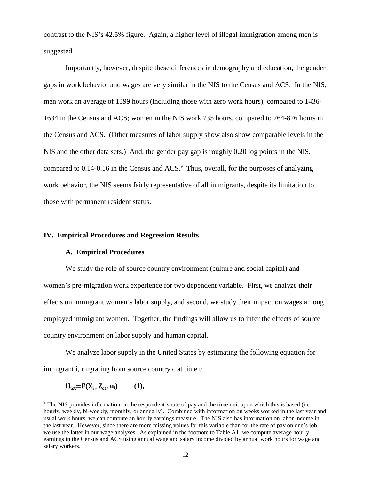contrast to the NIS's 42.5% figure. Again, a higher level of illegal immigration among men is suggested.

Importantly, however, despite these differences in demography and education, the gender gaps in work behavior and wages are very similar in the NIS to the Census and ACS. In the NIS, men work an average of 1399 hours (including those with zero work hours), compared to 1436- 1634 in the Census and ACS; women in the NIS work 735 hours, compared to 764-826 hours in the Census and ACS. (Other measures of labor supply show also show comparable levels in the NIS and the other data sets.) And, the gender pay gap is roughly 0.20 log points in the NIS, compared to  $0.14$ - $0.16$  in the Census and ACS. $\degree$  Thus, overall, for the purposes of analyzing work behavior, the NIS seems fairly representative of all immigrants, despite its limitation to those with permanent resident status.

### **IV. Empirical Procedures and Regression Results**

## **A. Empirical Procedures**

We study the role of source country environment (culture and social capital) and women's pre-migration work experience for two dependent variable. First, we analyze their effects on immigrant women's labor supply, and second, we study their impact on wages among employed immigrant women. Together, the findings will allow us to infer the effects of source country environment on labor supply and human capital.

We analyze labor supply in the United States by estimating the following equation for immigrant i, migrating from source country c at time t:

$$
H_{\text{ict}}=F(X_i, Z_{\text{ct}}, u_i) \qquad (1),
$$

<span id="page-13-0"></span><sup>&</sup>lt;sup>9</sup> The NIS provides information on the respondent's rate of pay and the time unit upon which this is based (i.e., hourly, weekly, bi-weekly, monthly, or annually). Combined with information on weeks worked in the last year and usual work hours, we can compute an hourly earnings measure. The NIS also has information on labor income in the last year. However, since there are more missing values for this variable than for the rate of pay on one's job, we use the latter in our wage analyses. As explained in the footnote to Table A1, we compute average hourly earnings in the Census and ACS using annual wage and salary income divided by annual work hours for wage and salary workers.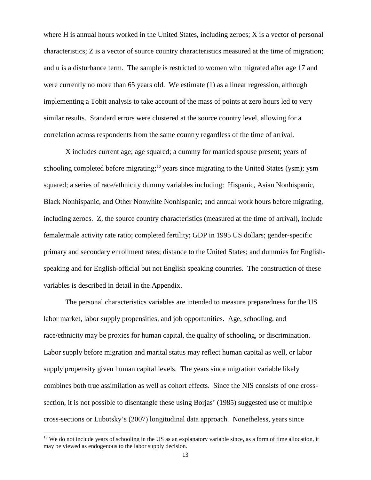where H is annual hours worked in the United States, including zeroes; X is a vector of personal characteristics; Z is a vector of source country characteristics measured at the time of migration; and u is a disturbance term. The sample is restricted to women who migrated after age 17 and were currently no more than 65 years old. We estimate (1) as a linear regression, although implementing a Tobit analysis to take account of the mass of points at zero hours led to very similar results. Standard errors were clustered at the source country level, allowing for a correlation across respondents from the same country regardless of the time of arrival.

X includes current age; age squared; a dummy for married spouse present; years of schooling completed before migrating;<sup>[10](#page-14-0)</sup> years since migrating to the United States (ysm); ysm squared; a series of race/ethnicity dummy variables including: Hispanic, Asian Nonhispanic, Black Nonhispanic, and Other Nonwhite Nonhispanic; and annual work hours before migrating, including zeroes. Z, the source country characteristics (measured at the time of arrival), include female/male activity rate ratio; completed fertility; GDP in 1995 US dollars; gender-specific primary and secondary enrollment rates; distance to the United States; and dummies for Englishspeaking and for English-official but not English speaking countries. The construction of these variables is described in detail in the Appendix.

The personal characteristics variables are intended to measure preparedness for the US labor market, labor supply propensities, and job opportunities. Age, schooling, and race/ethnicity may be proxies for human capital, the quality of schooling, or discrimination. Labor supply before migration and marital status may reflect human capital as well, or labor supply propensity given human capital levels. The years since migration variable likely combines both true assimilation as well as cohort effects. Since the NIS consists of one crosssection, it is not possible to disentangle these using Borjas' (1985) suggested use of multiple cross-sections or Lubotsky's (2007) longitudinal data approach. Nonetheless, years since

<span id="page-14-0"></span> $10$  We do not include years of schooling in the US as an explanatory variable since, as a form of time allocation, it may be viewed as endogenous to the labor supply decision.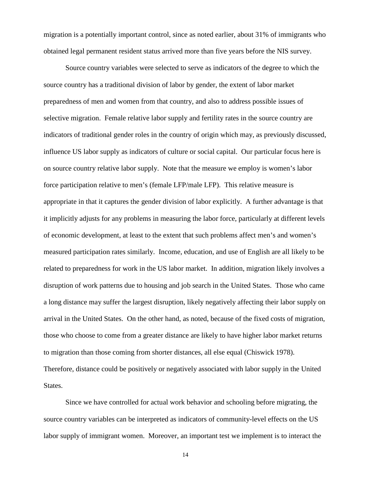migration is a potentially important control, since as noted earlier, about 31% of immigrants who obtained legal permanent resident status arrived more than five years before the NIS survey.

Source country variables were selected to serve as indicators of the degree to which the source country has a traditional division of labor by gender, the extent of labor market preparedness of men and women from that country, and also to address possible issues of selective migration. Female relative labor supply and fertility rates in the source country are indicators of traditional gender roles in the country of origin which may, as previously discussed, influence US labor supply as indicators of culture or social capital. Our particular focus here is on source country relative labor supply. Note that the measure we employ is women's labor force participation relative to men's (female LFP/male LFP). This relative measure is appropriate in that it captures the gender division of labor explicitly. A further advantage is that it implicitly adjusts for any problems in measuring the labor force, particularly at different levels of economic development, at least to the extent that such problems affect men's and women's measured participation rates similarly. Income, education, and use of English are all likely to be related to preparedness for work in the US labor market. In addition, migration likely involves a disruption of work patterns due to housing and job search in the United States. Those who came a long distance may suffer the largest disruption, likely negatively affecting their labor supply on arrival in the United States. On the other hand, as noted, because of the fixed costs of migration, those who choose to come from a greater distance are likely to have higher labor market returns to migration than those coming from shorter distances, all else equal (Chiswick 1978). Therefore, distance could be positively or negatively associated with labor supply in the United States.

Since we have controlled for actual work behavior and schooling before migrating, the source country variables can be interpreted as indicators of community-level effects on the US labor supply of immigrant women. Moreover, an important test we implement is to interact the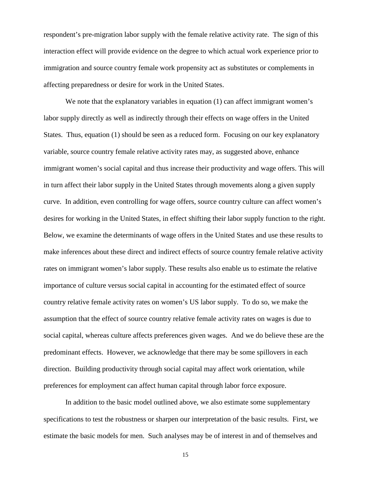respondent's pre-migration labor supply with the female relative activity rate. The sign of this interaction effect will provide evidence on the degree to which actual work experience prior to immigration and source country female work propensity act as substitutes or complements in affecting preparedness or desire for work in the United States.

We note that the explanatory variables in equation (1) can affect immigrant women's labor supply directly as well as indirectly through their effects on wage offers in the United States. Thus, equation (1) should be seen as a reduced form. Focusing on our key explanatory variable, source country female relative activity rates may, as suggested above, enhance immigrant women's social capital and thus increase their productivity and wage offers. This will in turn affect their labor supply in the United States through movements along a given supply curve. In addition, even controlling for wage offers, source country culture can affect women's desires for working in the United States, in effect shifting their labor supply function to the right. Below, we examine the determinants of wage offers in the United States and use these results to make inferences about these direct and indirect effects of source country female relative activity rates on immigrant women's labor supply. These results also enable us to estimate the relative importance of culture versus social capital in accounting for the estimated effect of source country relative female activity rates on women's US labor supply. To do so, we make the assumption that the effect of source country relative female activity rates on wages is due to social capital, whereas culture affects preferences given wages. And we do believe these are the predominant effects. However, we acknowledge that there may be some spillovers in each direction. Building productivity through social capital may affect work orientation, while preferences for employment can affect human capital through labor force exposure.

In addition to the basic model outlined above, we also estimate some supplementary specifications to test the robustness or sharpen our interpretation of the basic results. First, we estimate the basic models for men. Such analyses may be of interest in and of themselves and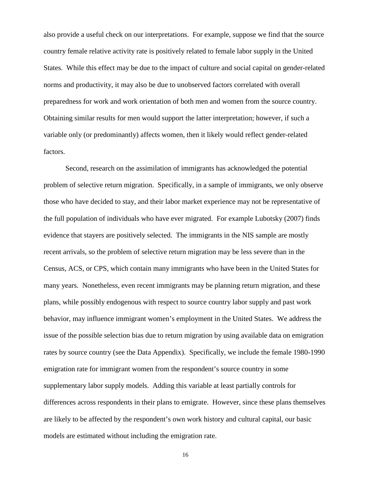also provide a useful check on our interpretations. For example, suppose we find that the source country female relative activity rate is positively related to female labor supply in the United States. While this effect may be due to the impact of culture and social capital on gender-related norms and productivity, it may also be due to unobserved factors correlated with overall preparedness for work and work orientation of both men and women from the source country. Obtaining similar results for men would support the latter interpretation; however, if such a variable only (or predominantly) affects women, then it likely would reflect gender-related factors.

Second, research on the assimilation of immigrants has acknowledged the potential problem of selective return migration. Specifically, in a sample of immigrants, we only observe those who have decided to stay, and their labor market experience may not be representative of the full population of individuals who have ever migrated. For example Lubotsky (2007) finds evidence that stayers are positively selected. The immigrants in the NIS sample are mostly recent arrivals, so the problem of selective return migration may be less severe than in the Census, ACS, or CPS, which contain many immigrants who have been in the United States for many years. Nonetheless, even recent immigrants may be planning return migration, and these plans, while possibly endogenous with respect to source country labor supply and past work behavior, may influence immigrant women's employment in the United States. We address the issue of the possible selection bias due to return migration by using available data on emigration rates by source country (see the Data Appendix). Specifically, we include the female 1980-1990 emigration rate for immigrant women from the respondent's source country in some supplementary labor supply models. Adding this variable at least partially controls for differences across respondents in their plans to emigrate. However, since these plans themselves are likely to be affected by the respondent's own work history and cultural capital, our basic models are estimated without including the emigration rate.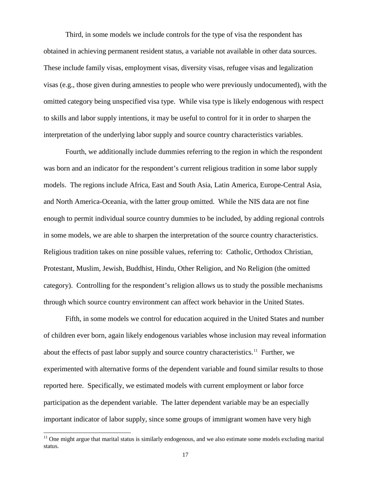Third, in some models we include controls for the type of visa the respondent has obtained in achieving permanent resident status, a variable not available in other data sources. These include family visas, employment visas, diversity visas, refugee visas and legalization visas (e.g., those given during amnesties to people who were previously undocumented), with the omitted category being unspecified visa type. While visa type is likely endogenous with respect to skills and labor supply intentions, it may be useful to control for it in order to sharpen the interpretation of the underlying labor supply and source country characteristics variables.

Fourth, we additionally include dummies referring to the region in which the respondent was born and an indicator for the respondent's current religious tradition in some labor supply models. The regions include Africa, East and South Asia, Latin America, Europe-Central Asia, and North America-Oceania, with the latter group omitted. While the NIS data are not fine enough to permit individual source country dummies to be included, by adding regional controls in some models, we are able to sharpen the interpretation of the source country characteristics. Religious tradition takes on nine possible values, referring to: Catholic, Orthodox Christian, Protestant, Muslim, Jewish, Buddhist, Hindu, Other Religion, and No Religion (the omitted category). Controlling for the respondent's religion allows us to study the possible mechanisms through which source country environment can affect work behavior in the United States.

Fifth, in some models we control for education acquired in the United States and number of children ever born, again likely endogenous variables whose inclusion may reveal information about the effects of past labor supply and source country characteristics.<sup>[11](#page-18-0)</sup> Further, we experimented with alternative forms of the dependent variable and found similar results to those reported here. Specifically, we estimated models with current employment or labor force participation as the dependent variable. The latter dependent variable may be an especially important indicator of labor supply, since some groups of immigrant women have very high

<span id="page-18-0"></span><sup>&</sup>lt;sup>11</sup> One might argue that marital status is similarly endogenous, and we also estimate some models excluding marital status.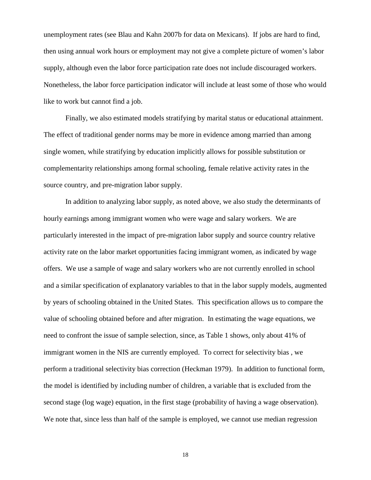unemployment rates (see Blau and Kahn 2007b for data on Mexicans). If jobs are hard to find, then using annual work hours or employment may not give a complete picture of women's labor supply, although even the labor force participation rate does not include discouraged workers. Nonetheless, the labor force participation indicator will include at least some of those who would like to work but cannot find a job.

Finally, we also estimated models stratifying by marital status or educational attainment. The effect of traditional gender norms may be more in evidence among married than among single women, while stratifying by education implicitly allows for possible substitution or complementarity relationships among formal schooling, female relative activity rates in the source country, and pre-migration labor supply.

In addition to analyzing labor supply, as noted above, we also study the determinants of hourly earnings among immigrant women who were wage and salary workers. We are particularly interested in the impact of pre-migration labor supply and source country relative activity rate on the labor market opportunities facing immigrant women, as indicated by wage offers. We use a sample of wage and salary workers who are not currently enrolled in school and a similar specification of explanatory variables to that in the labor supply models, augmented by years of schooling obtained in the United States. This specification allows us to compare the value of schooling obtained before and after migration. In estimating the wage equations, we need to confront the issue of sample selection, since, as Table 1 shows, only about 41% of immigrant women in the NIS are currently employed. To correct for selectivity bias , we perform a traditional selectivity bias correction (Heckman 1979). In addition to functional form, the model is identified by including number of children, a variable that is excluded from the second stage (log wage) equation, in the first stage (probability of having a wage observation). We note that, since less than half of the sample is employed, we cannot use median regression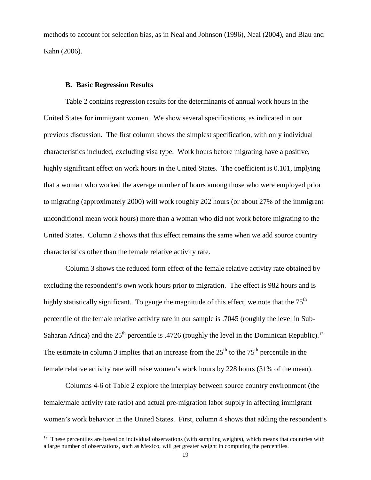methods to account for selection bias, as in Neal and Johnson (1996), Neal (2004), and Blau and Kahn (2006).

# **B. Basic Regression Results**

Table 2 contains regression results for the determinants of annual work hours in the United States for immigrant women. We show several specifications, as indicated in our previous discussion. The first column shows the simplest specification, with only individual characteristics included, excluding visa type. Work hours before migrating have a positive, highly significant effect on work hours in the United States. The coefficient is 0.101, implying that a woman who worked the average number of hours among those who were employed prior to migrating (approximately 2000) will work roughly 202 hours (or about 27% of the immigrant unconditional mean work hours) more than a woman who did not work before migrating to the United States. Column 2 shows that this effect remains the same when we add source country characteristics other than the female relative activity rate.

Column 3 shows the reduced form effect of the female relative activity rate obtained by excluding the respondent's own work hours prior to migration. The effect is 982 hours and is highly statistically significant. To gauge the magnitude of this effect, we note that the  $75<sup>th</sup>$ percentile of the female relative activity rate in our sample is .7045 (roughly the level in Sub-Saharan Africa) and the  $25<sup>th</sup>$  percentile is .4726 (roughly the level in the Dominican Republic).<sup>12</sup> The estimate in column 3 implies that an increase from the  $25<sup>th</sup>$  to the  $75<sup>th</sup>$  percentile in the female relative activity rate will raise women's work hours by 228 hours (31% of the mean).

Columns 4-6 of Table 2 explore the interplay between source country environment (the female/male activity rate ratio) and actual pre-migration labor supply in affecting immigrant women's work behavior in the United States. First, column 4 shows that adding the respondent's

<span id="page-20-0"></span> $12$  These percentiles are based on individual observations (with sampling weights), which means that countries with a large number of observations, such as Mexico, will get greater weight in computing the percentiles.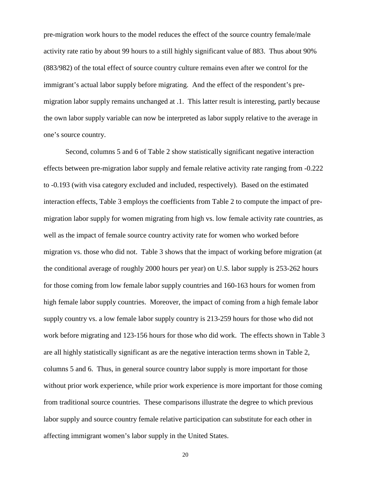pre-migration work hours to the model reduces the effect of the source country female/male activity rate ratio by about 99 hours to a still highly significant value of 883. Thus about 90% (883/982) of the total effect of source country culture remains even after we control for the immigrant's actual labor supply before migrating. And the effect of the respondent's premigration labor supply remains unchanged at .1. This latter result is interesting, partly because the own labor supply variable can now be interpreted as labor supply relative to the average in one's source country.

Second, columns 5 and 6 of Table 2 show statistically significant negative interaction effects between pre-migration labor supply and female relative activity rate ranging from -0.222 to -0.193 (with visa category excluded and included, respectively). Based on the estimated interaction effects, Table 3 employs the coefficients from Table 2 to compute the impact of premigration labor supply for women migrating from high vs. low female activity rate countries, as well as the impact of female source country activity rate for women who worked before migration vs. those who did not. Table 3 shows that the impact of working before migration (at the conditional average of roughly 2000 hours per year) on U.S. labor supply is 253-262 hours for those coming from low female labor supply countries and 160-163 hours for women from high female labor supply countries. Moreover, the impact of coming from a high female labor supply country vs. a low female labor supply country is 213-259 hours for those who did not work before migrating and 123-156 hours for those who did work. The effects shown in Table 3 are all highly statistically significant as are the negative interaction terms shown in Table 2, columns 5 and 6. Thus, in general source country labor supply is more important for those without prior work experience, while prior work experience is more important for those coming from traditional source countries. These comparisons illustrate the degree to which previous labor supply and source country female relative participation can substitute for each other in affecting immigrant women's labor supply in the United States.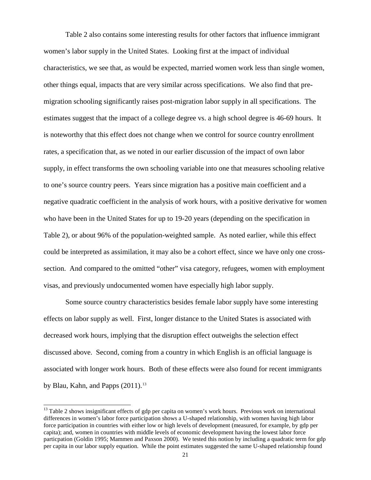Table 2 also contains some interesting results for other factors that influence immigrant women's labor supply in the United States. Looking first at the impact of individual characteristics, we see that, as would be expected, married women work less than single women, other things equal, impacts that are very similar across specifications. We also find that premigration schooling significantly raises post-migration labor supply in all specifications. The estimates suggest that the impact of a college degree vs. a high school degree is 46-69 hours. It is noteworthy that this effect does not change when we control for source country enrollment rates, a specification that, as we noted in our earlier discussion of the impact of own labor supply, in effect transforms the own schooling variable into one that measures schooling relative to one's source country peers. Years since migration has a positive main coefficient and a negative quadratic coefficient in the analysis of work hours, with a positive derivative for women who have been in the United States for up to 19-20 years (depending on the specification in Table 2), or about 96% of the population-weighted sample. As noted earlier, while this effect could be interpreted as assimilation, it may also be a cohort effect, since we have only one crosssection. And compared to the omitted "other" visa category, refugees, women with employment visas, and previously undocumented women have especially high labor supply.

Some source country characteristics besides female labor supply have some interesting effects on labor supply as well. First, longer distance to the United States is associated with decreased work hours, implying that the disruption effect outweighs the selection effect discussed above. Second, coming from a country in which English is an official language is associated with longer work hours. Both of these effects were also found for recent immigrants by Blau, Kahn, and Papps  $(2011).$ <sup>[13](#page-22-0)</sup>

<span id="page-22-0"></span><sup>&</sup>lt;sup>13</sup> Table 2 shows insignificant effects of gdp per capita on women's work hours. Previous work on international differences in women's labor force participation shows a U-shaped relationship, with women having high labor force participation in countries with either low or high levels of development (measured, for example, by gdp per capita); and, women in countries with middle levels of economic development having the lowest labor force particpation (Goldin 1995; Mammen and Paxson 2000). We tested this notion by including a quadratic term for gdp per capita in our labor supply equation. While the point estimates suggested the same U-shaped relationship found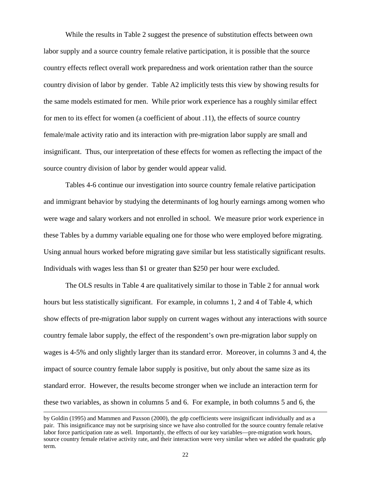While the results in Table 2 suggest the presence of substitution effects between own labor supply and a source country female relative participation, it is possible that the source country effects reflect overall work preparedness and work orientation rather than the source country division of labor by gender. Table A2 implicitly tests this view by showing results for the same models estimated for men. While prior work experience has a roughly similar effect for men to its effect for women (a coefficient of about .11), the effects of source country female/male activity ratio and its interaction with pre-migration labor supply are small and insignificant. Thus, our interpretation of these effects for women as reflecting the impact of the source country division of labor by gender would appear valid.

Tables 4-6 continue our investigation into source country female relative participation and immigrant behavior by studying the determinants of log hourly earnings among women who were wage and salary workers and not enrolled in school. We measure prior work experience in these Tables by a dummy variable equaling one for those who were employed before migrating. Using annual hours worked before migrating gave similar but less statistically significant results. Individuals with wages less than \$1 or greater than \$250 per hour were excluded.

The OLS results in Table 4 are qualitatively similar to those in Table 2 for annual work hours but less statistically significant. For example, in columns 1, 2 and 4 of Table 4, which show effects of pre-migration labor supply on current wages without any interactions with source country female labor supply, the effect of the respondent's own pre-migration labor supply on wages is 4-5% and only slightly larger than its standard error. Moreover, in columns 3 and 4, the impact of source country female labor supply is positive, but only about the same size as its standard error. However, the results become stronger when we include an interaction term for these two variables, as shown in columns 5 and 6. For example, in both columns 5 and 6, the

 $\overline{a}$ 

by Goldin (1995) and Mammen and Paxson (2000), the gdp coefficients were insignificant individually and as a pair. This insignificance may not be surprising since we have also controlled for the source country female relative labor force participation rate as well. Importantly, the effects of our key variables—pre-migration work hours, source country female relative activity rate, and their interaction were very similar when we added the quadratic gdp term.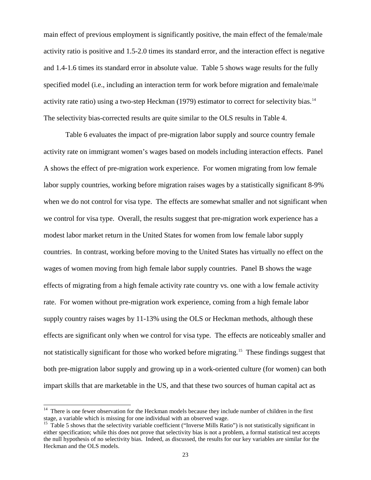main effect of previous employment is significantly positive, the main effect of the female/male activity ratio is positive and 1.5-2.0 times its standard error, and the interaction effect is negative and 1.4-1.6 times its standard error in absolute value. Table 5 shows wage results for the fully specified model (i.e., including an interaction term for work before migration and female/male activity rate ratio) using a two-step Heckman (1979) estimator to correct for selectivity bias.<sup>14</sup> The selectivity bias-corrected results are quite similar to the OLS results in Table 4.

Table 6 evaluates the impact of pre-migration labor supply and source country female activity rate on immigrant women's wages based on models including interaction effects. Panel A shows the effect of pre-migration work experience. For women migrating from low female labor supply countries, working before migration raises wages by a statistically significant 8-9% when we do not control for visa type. The effects are somewhat smaller and not significant when we control for visa type. Overall, the results suggest that pre-migration work experience has a modest labor market return in the United States for women from low female labor supply countries. In contrast, working before moving to the United States has virtually no effect on the wages of women moving from high female labor supply countries. Panel B shows the wage effects of migrating from a high female activity rate country vs. one with a low female activity rate. For women without pre-migration work experience, coming from a high female labor supply country raises wages by 11-13% using the OLS or Heckman methods, although these effects are significant only when we control for visa type. The effects are noticeably smaller and not statistically significant for those who worked before migrating.<sup>[15](#page-24-1)</sup> These findings suggest that both pre-migration labor supply and growing up in a work-oriented culture (for women) can both impart skills that are marketable in the US, and that these two sources of human capital act as

<span id="page-24-0"></span> $14$  There is one fewer observation for the Heckman models because they include number of children in the first stage, a variable which is missing for one individual with an observed wage.

<span id="page-24-1"></span> $15$  Table 5 shows that the selectivity variable coefficient ("Inverse Mills Ratio") is not statistically significant in either specification; while this does not prove that selectivity bias is not a problem, a formal statistical test accepts the null hypothesis of no selectivity bias. Indeed, as discussed, the results for our key variables are similar for the Heckman and the OLS models.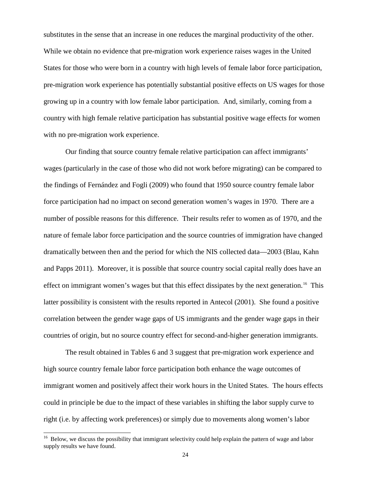substitutes in the sense that an increase in one reduces the marginal productivity of the other. While we obtain no evidence that pre-migration work experience raises wages in the United States for those who were born in a country with high levels of female labor force participation, pre-migration work experience has potentially substantial positive effects on US wages for those growing up in a country with low female labor participation. And, similarly, coming from a country with high female relative participation has substantial positive wage effects for women with no pre-migration work experience.

Our finding that source country female relative participation can affect immigrants' wages (particularly in the case of those who did not work before migrating) can be compared to the findings of Fernández and Fogli (2009) who found that 1950 source country female labor force participation had no impact on second generation women's wages in 1970. There are a number of possible reasons for this difference. Their results refer to women as of 1970, and the nature of female labor force participation and the source countries of immigration have changed dramatically between then and the period for which the NIS collected data—2003 (Blau, Kahn and Papps 2011). Moreover, it is possible that source country social capital really does have an effect on immigrant women's wages but that this effect dissipates by the next generation.<sup>16</sup> This latter possibility is consistent with the results reported in Antecol (2001). She found a positive correlation between the gender wage gaps of US immigrants and the gender wage gaps in their countries of origin, but no source country effect for second-and-higher generation immigrants.

The result obtained in Tables 6 and 3 suggest that pre-migration work experience and high source country female labor force participation both enhance the wage outcomes of immigrant women and positively affect their work hours in the United States. The hours effects could in principle be due to the impact of these variables in shifting the labor supply curve to right (i.e. by affecting work preferences) or simply due to movements along women's labor

<span id="page-25-0"></span> <sup>16</sup> Below, we discuss the possibility that immigrant selectivity could help explain the pattern of wage and labor supply results we have found.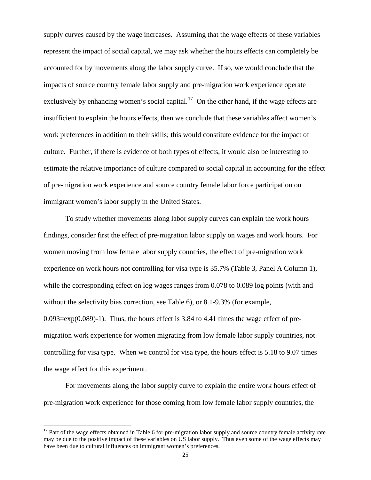supply curves caused by the wage increases. Assuming that the wage effects of these variables represent the impact of social capital, we may ask whether the hours effects can completely be accounted for by movements along the labor supply curve. If so, we would conclude that the impacts of source country female labor supply and pre-migration work experience operate exclusively by enhancing women's social capital.<sup>17</sup> On the other hand, if the wage effects are insufficient to explain the hours effects, then we conclude that these variables affect women's work preferences in addition to their skills; this would constitute evidence for the impact of culture. Further, if there is evidence of both types of effects, it would also be interesting to estimate the relative importance of culture compared to social capital in accounting for the effect of pre-migration work experience and source country female labor force participation on immigrant women's labor supply in the United States.

To study whether movements along labor supply curves can explain the work hours findings, consider first the effect of pre-migration labor supply on wages and work hours. For women moving from low female labor supply countries, the effect of pre-migration work experience on work hours not controlling for visa type is 35.7% (Table 3, Panel A Column 1), while the corresponding effect on log wages ranges from 0.078 to 0.089 log points (with and without the selectivity bias correction, see Table 6), or 8.1-9.3% (for example,  $0.093 = exp(0.089) - 1$ . Thus, the hours effect is 3.84 to 4.41 times the wage effect of premigration work experience for women migrating from low female labor supply countries, not controlling for visa type. When we control for visa type, the hours effect is 5.18 to 9.07 times the wage effect for this experiment.

For movements along the labor supply curve to explain the entire work hours effect of pre-migration work experience for those coming from low female labor supply countries, the

<span id="page-26-0"></span> $17$  Part of the wage effects obtained in Table 6 for pre-migration labor supply and source country female activity rate may be due to the positive impact of these variables on US labor supply. Thus even some of the wage effects may have been due to cultural influences on immigrant women's preferences.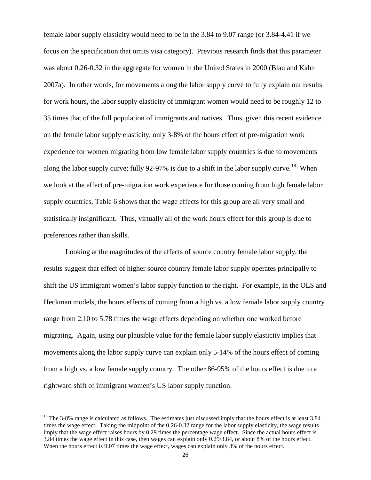female labor supply elasticity would need to be in the 3.84 to 9.07 range (or 3.84-4.41 if we focus on the specification that omits visa category). Previous research finds that this parameter was about 0.26-0.32 in the aggregate for women in the United States in 2000 (Blau and Kahn 2007a). In other words, for movements along the labor supply curve to fully explain our results for work hours, the labor supply elasticity of immigrant women would need to be roughly 12 to 35 times that of the full population of immigrants and natives. Thus, given this recent evidence on the female labor supply elasticity, only 3-8% of the hours effect of pre-migration work experience for women migrating from low female labor supply countries is due to movements along the labor supply curve; fully 92-97% is due to a shift in the labor supply curve.<sup>18</sup> When we look at the effect of pre-migration work experience for those coming from high female labor supply countries, Table 6 shows that the wage effects for this group are all very small and statistically insignificant. Thus, virtually all of the work hours effect for this group is due to preferences rather than skills.

Looking at the magnitudes of the effects of source country female labor supply, the results suggest that effect of higher source country female labor supply operates principally to shift the US immigrant women's labor supply function to the right. For example, in the OLS and Heckman models, the hours effects of coming from a high vs. a low female labor supply country range from 2.10 to 5.78 times the wage effects depending on whether one worked before migrating. Again, using our plausible value for the female labor supply elasticity implies that movements along the labor supply curve can explain only 5-14% of the hours effect of coming from a high vs. a low female supply country. The other 86-95% of the hours effect is due to a rightward shift of immigrant women's US labor supply function.

<span id="page-27-0"></span><sup>&</sup>lt;sup>18</sup> The 3-8% range is calculated as follows. The estimates just discussed imply that the hours effect is at least 3.84 times the wage effect. Taking the midpoint of the 0.26-0.32 range for the labor supply elasticity, the wage results imply that the wage effect raises hours by 0.29 times the percentage wage effect. Since the actual hours effect is 3.84 times the wage effect in this case, then wages can explain only 0.29/3.84, or about 8% of the hours effect. When the hours effect is 9.07 times the wage effect, wages can explain only 3% of the hours effect.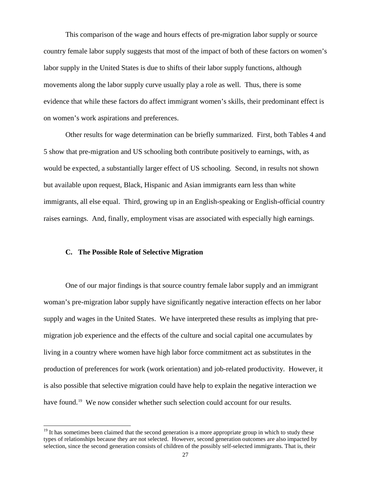This comparison of the wage and hours effects of pre-migration labor supply or source country female labor supply suggests that most of the impact of both of these factors on women's labor supply in the United States is due to shifts of their labor supply functions, although movements along the labor supply curve usually play a role as well. Thus, there is some evidence that while these factors do affect immigrant women's skills, their predominant effect is on women's work aspirations and preferences.

Other results for wage determination can be briefly summarized. First, both Tables 4 and 5 show that pre-migration and US schooling both contribute positively to earnings, with, as would be expected, a substantially larger effect of US schooling. Second, in results not shown but available upon request, Black, Hispanic and Asian immigrants earn less than white immigrants, all else equal. Third, growing up in an English-speaking or English-official country raises earnings. And, finally, employment visas are associated with especially high earnings.

# **C. The Possible Role of Selective Migration**

One of our major findings is that source country female labor supply and an immigrant woman's pre-migration labor supply have significantly negative interaction effects on her labor supply and wages in the United States. We have interpreted these results as implying that premigration job experience and the effects of the culture and social capital one accumulates by living in a country where women have high labor force commitment act as substitutes in the production of preferences for work (work orientation) and job-related productivity. However, it is also possible that selective migration could have help to explain the negative interaction we have found.<sup>19</sup> We now consider whether such selection could account for our results.

<span id="page-28-0"></span> $19$  It has sometimes been claimed that the second generation is a more appropriate group in which to study these types of relationships because they are not selected. However, second generation outcomes are also impacted by selection, since the second generation consists of children of the possibly self-selected immigrants. That is, their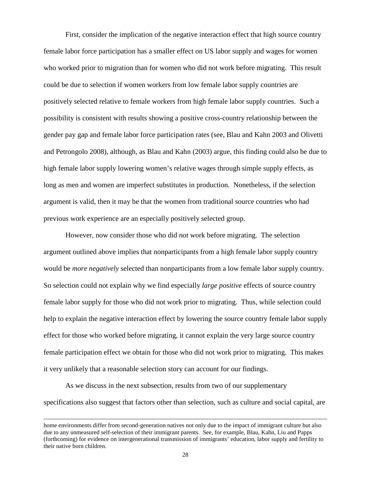First, consider the implication of the negative interaction effect that high source country female labor force participation has a smaller effect on US labor supply and wages for women who worked prior to migration than for women who did not work before migrating. This result could be due to selection if women workers from low female labor supply countries are positively selected relative to female workers from high female labor supply countries. Such a possibility is consistent with results showing a positive cross-country relationship between the gender pay gap and female labor force participation rates (see, Blau and Kahn 2003 and Olivetti and Petrongolo 2008), although, as Blau and Kahn (2003) argue, this finding could also be due to high female labor supply lowering women's relative wages through simple supply effects, as long as men and women are imperfect substitutes in production. Nonetheless, if the selection argument is valid, then it may be that the women from traditional source countries who had previous work experience are an especially positively selected group.

However, now consider those who did *not* work before migrating. The selection argument outlined above implies that nonparticipants from a high female labor supply country would be *more negatively* selected than nonparticipants from a low female labor supply country. So selection could not explain why we find especially *large positive* effects of source country female labor supply for those who did not work prior to migrating. Thus, while selection could help to explain the negative interaction effect by lowering the source country female labor supply effect for those who worked before migrating, it cannot explain the very large source country female participation effect we obtain for those who did not work prior to migrating. This makes it very unlikely that a reasonable selection story can account for our findings.

As we discuss in the next subsection, results from two of our supplementary specifications also suggest that factors other than selection, such as culture and social capital, are

 $\overline{a}$ 

home environments differ from second-generation natives not only due to the impact of immigrant culture but also due to any unmeasured self-selection of their immigrant parents. See, for example, Blau, Kahn, Liu and Papps (forthcoming) for evidence on intergenerational transmission of immigrants' education, labor supply and fertility to their native born children.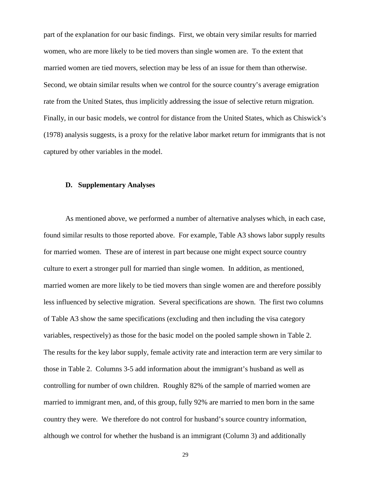part of the explanation for our basic findings. First, we obtain very similar results for married women, who are more likely to be tied movers than single women are. To the extent that married women are tied movers, selection may be less of an issue for them than otherwise. Second, we obtain similar results when we control for the source country's average emigration rate from the United States, thus implicitly addressing the issue of selective return migration. Finally, in our basic models, we control for distance from the United States, which as Chiswick's (1978) analysis suggests, is a proxy for the relative labor market return for immigrants that is not captured by other variables in the model.

# **D. Supplementary Analyses**

As mentioned above, we performed a number of alternative analyses which, in each case, found similar results to those reported above. For example, Table A3 shows labor supply results for married women. These are of interest in part because one might expect source country culture to exert a stronger pull for married than single women. In addition, as mentioned, married women are more likely to be tied movers than single women are and therefore possibly less influenced by selective migration. Several specifications are shown. The first two columns of Table A3 show the same specifications (excluding and then including the visa category variables, respectively) as those for the basic model on the pooled sample shown in Table 2. The results for the key labor supply, female activity rate and interaction term are very similar to those in Table 2. Columns 3-5 add information about the immigrant's husband as well as controlling for number of own children. Roughly 82% of the sample of married women are married to immigrant men, and, of this group, fully 92% are married to men born in the same country they were. We therefore do not control for husband's source country information, although we control for whether the husband is an immigrant (Column 3) and additionally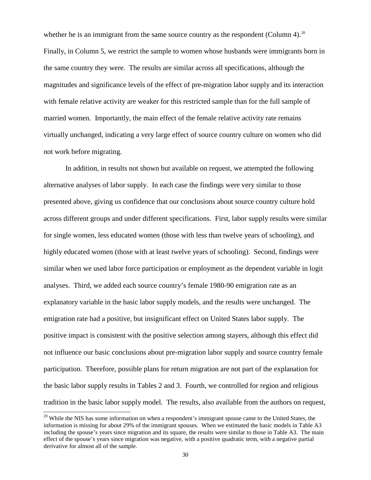whether he is an immigrant from the same source country as the respondent (Column 4).<sup>20</sup> Finally, in Column 5, we restrict the sample to women whose husbands were immigrants born in the same country they were. The results are similar across all specifications, although the magnitudes and significance levels of the effect of pre-migration labor supply and its interaction with female relative activity are weaker for this restricted sample than for the full sample of married women. Importantly, the main effect of the female relative activity rate remains virtually unchanged, indicating a very large effect of source country culture on women who did not work before migrating.

In addition, in results not shown but available on request, we attempted the following alternative analyses of labor supply. In each case the findings were very similar to those presented above, giving us confidence that our conclusions about source country culture hold across different groups and under different specifications. First, labor supply results were similar for single women, less educated women (those with less than twelve years of schooling), and highly educated women (those with at least twelve years of schooling). Second, findings were similar when we used labor force participation or employment as the dependent variable in logit analyses. Third, we added each source country's female 1980-90 emigration rate as an explanatory variable in the basic labor supply models, and the results were unchanged. The emigration rate had a positive, but insignificant effect on United States labor supply. The positive impact is consistent with the positive selection among stayers, although this effect did not influence our basic conclusions about pre-migration labor supply and source country female participation. Therefore, possible plans for return migration are not part of the explanation for the basic labor supply results in Tables 2 and 3. Fourth, we controlled for region and religious tradition in the basic labor supply model. The results, also available from the authors on request,

<span id="page-31-0"></span><sup>&</sup>lt;sup>20</sup> While the NIS has some information on when a respondent's immigrant spouse came to the United States, the information is missing for about 29% of the immigrant spouses. When we estimated the basic models in Table A3 including the spouse's years since migration and its square, the results were similar to those in Table A3. The main effect of the spouse's years since migration was negative, with a positive quadratic term, with a negative partial derivative for almost all of the sample.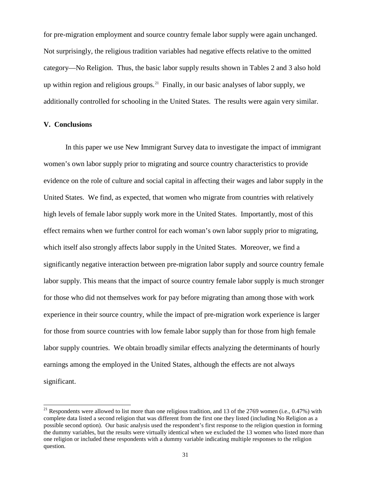for pre-migration employment and source country female labor supply were again unchanged. Not surprisingly, the religious tradition variables had negative effects relative to the omitted category—No Religion. Thus, the basic labor supply results shown in Tables 2 and 3 also hold up within region and religious groups.<sup>[21](#page-32-0)</sup> Finally, in our basic analyses of labor supply, we additionally controlled for schooling in the United States. The results were again very similar.

# **V. Conclusions**

In this paper we use New Immigrant Survey data to investigate the impact of immigrant women's own labor supply prior to migrating and source country characteristics to provide evidence on the role of culture and social capital in affecting their wages and labor supply in the United States. We find, as expected, that women who migrate from countries with relatively high levels of female labor supply work more in the United States. Importantly, most of this effect remains when we further control for each woman's own labor supply prior to migrating, which itself also strongly affects labor supply in the United States. Moreover, we find a significantly negative interaction between pre-migration labor supply and source country female labor supply. This means that the impact of source country female labor supply is much stronger for those who did not themselves work for pay before migrating than among those with work experience in their source country, while the impact of pre-migration work experience is larger for those from source countries with low female labor supply than for those from high female labor supply countries. We obtain broadly similar effects analyzing the determinants of hourly earnings among the employed in the United States, although the effects are not always significant.

<span id="page-32-0"></span><sup>&</sup>lt;sup>21</sup> Respondents were allowed to list more than one religious tradition, and 13 of the 2769 women (i.e., 0.47%) with complete data listed a second religion that was different from the first one they listed (including No Religion as a possible second option). Our basic analysis used the respondent's first response to the religion question in forming the dummy variables, but the results were virtually identical when we excluded the 13 women who listed more than one religion or included these respondents with a dummy variable indicating multiple responses to the religion question.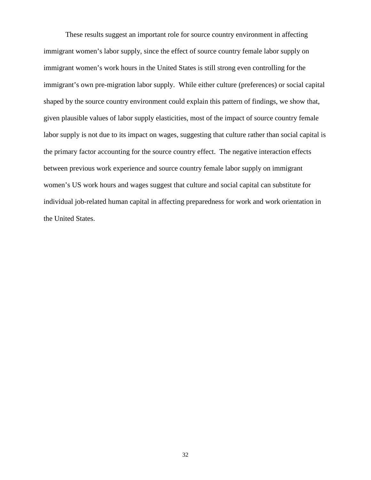These results suggest an important role for source country environment in affecting immigrant women's labor supply, since the effect of source country female labor supply on immigrant women's work hours in the United States is still strong even controlling for the immigrant's own pre-migration labor supply. While either culture (preferences) or social capital shaped by the source country environment could explain this pattern of findings, we show that, given plausible values of labor supply elasticities, most of the impact of source country female labor supply is not due to its impact on wages, suggesting that culture rather than social capital is the primary factor accounting for the source country effect. The negative interaction effects between previous work experience and source country female labor supply on immigrant women's US work hours and wages suggest that culture and social capital can substitute for individual job-related human capital in affecting preparedness for work and work orientation in the United States.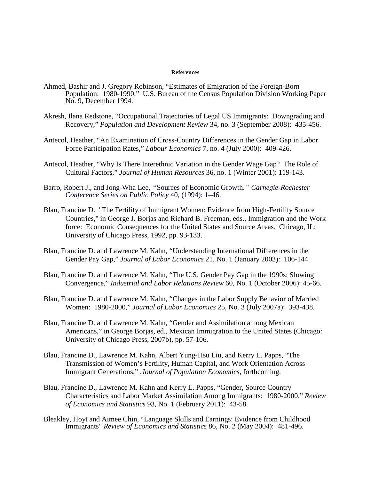#### **References**

- Ahmed, Bashir and J. Gregory Robinson, "Estimates of Emigration of the Foreign-Born Population: 1980-1990," U.S. Bureau of the Census Population Division Working Paper No. 9, December 1994.
- Akresh, Ilana Redstone, "Occupational Trajectories of Legal US Immigrants: Downgrading and Recovery," *Population and Development Review* 34, no. 3 (September 2008): 435-456.
- Antecol, Heather, "An Examination of Cross-Country Differences in the Gender Gap in Labor Force Participation Rates," *Labour Economics* 7, no. 4 (July 2000): 409-426.
- Antecol, Heather, "Why Is There Interethnic Variation in the Gender Wage Gap? The Role of Cultural Factors," *Journal of Human Resources* 36, no. 1 (Winter 2001): 119-143.
- Barro, Robert J., and Jong-Wha Lee, "Sources of Economic Growth." Carnegie-Rochester *Conference Series on Public Policy* 40, (1994): 1–46.
- Blau, Francine D. "The Fertility of Immigrant Women: Evidence from High-Fertility Source Countries," in George J. Borjas and Richard B. Freeman, eds., Immigration and the Work force: Economic Consequences for the United States and Source Areas. Chicago, IL: University of Chicago Press, 1992, pp. 93-133.
- Blau, Francine D. and Lawrence M. Kahn, "Understanding International Differences in the Gender Pay Gap," *Journal of Labor Economics* 21, No. 1 (January 2003): 106-144.
- Blau, Francine D. and Lawrence M. Kahn, "The U.S. Gender Pay Gap in the 1990s: Slowing Convergence," *Industrial and Labor Relations Review* 60, No. 1 (October 2006): 45-66.
- Blau, Francine D. and Lawrence M. Kahn, "Changes in the Labor Supply Behavior of Married Women: 1980-2000," *Journal of Labor Economics* 25, No. 3 (July 2007a): 393-438.
- Blau, Francine D. and Lawrence M. Kahn, "Gender and Assimilation among Mexican Americans," in George Borjas, ed., Mexican Immigration to the United States (Chicago: University of Chicago Press, 2007b), pp. 57-106.
- Blau, Francine D., Lawrence M. Kahn, Albert Yung-Hsu Liu, and Kerry L. Papps, "The Transmission of Women's Fertility, Human Capital, and Work Orientation Across Immigrant Generations," .*Journal of Population Economics*, forthcoming.
- Blau, Francine D., Lawrence M. Kahn and Kerry L. Papps, "Gender, Source Country Characteristics and Labor Market Assimilation Among Immigrants: 1980-2000," *Review of Economics and Statistics* 93, No. 1 (February 2011): 43-58.
- Bleakley, Hoyt and Aimee Chin, "Language Skills and Earnings: Evidence from Childhood Immigrants" *Review of Economics and Statistics* 86, No. 2 (May 2004): 481-496.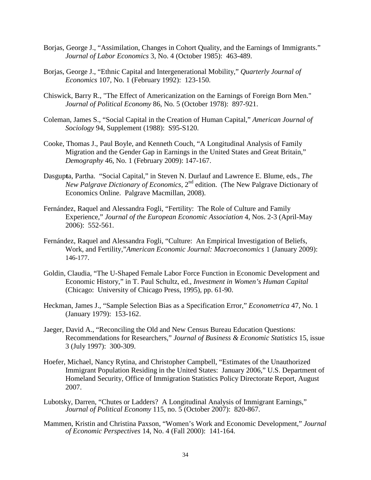- Borjas, George J., "Assimilation, Changes in Cohort Quality, and the Earnings of Immigrants." *Journal of Labor Economics* 3, No. 4 (October 1985): 463-489.
- Borjas, George J., "Ethnic Capital and Intergenerational Mobility," *Quarterly Journal of Economics* 107, No. 1 (February 1992): 123-150.
- Chiswick, Barry R., "The Effect of Americanization on the Earnings of Foreign Born Men." *Journal of Political Economy* 86, No. 5 (October 1978): 897-921.
- Coleman, James S., "Social Capital in the Creation of Human Capital," *American Journal of Sociology* 94, Supplement (1988): S95-S120.
- Cooke, Thomas J., Paul Boyle, and Kenneth Couch, "A Longitudinal Analysis of Family Migration and the Gender Gap in Earnings in the United States and Great Britain," *Demography* 46, No. 1 (February 2009): 147-167.
- Dasgup**t**a, Partha. "Social Capital," in Steven N. Durlauf and Lawrence E. Blume, eds., *The New Palgrave Dictionary of Economics*, 2nd edition. (The New Palgrave Dictionary of Economics Online. Palgrave Macmillan, 2008).
- Fernández, Raquel and Alessandra Fogli, "Fertility: The Role of Culture and Family Experience," *Journal of the European Economic Association* 4, Nos. 2-3 (April-May 2006): 552-561.
- Fernández, Raquel and Alessandra Fogli, "Culture: An Empirical Investigation of Beliefs, Work, and Fertility,"*American Economic Journal: Macroeconomics* 1 (January 2009): 146-177.
- Goldin, Claudia, "The U-Shaped Female Labor Force Function in Economic Development and Economic History," in T. Paul Schultz, ed., *Investment in Women's Human Capital* (Chicago: University of Chicago Press, 1995), pp. 61-90.
- Heckman, James J., "Sample Selection Bias as a Specification Error," *Econometrica* 47, No. 1 (January 1979): 153-162.
- Jaeger, David A., "Reconciling the Old and New Census Bureau Education Questions: Recommendations for Researchers," *Journal of Business & Economic Statistics* 15, issue 3 (July 1997): 300-309.
- Hoefer, Michael, Nancy Rytina, and Christopher Campbell, "Estimates of the Unauthorized Immigrant Population Residing in the United States: January 2006," U.S. Department of Homeland Security, Office of Immigration Statistics Policy Directorate Report, August 2007.
- Lubotsky, Darren, "Chutes or Ladders? A Longitudinal Analysis of Immigrant Earnings," *Journal of Political Economy* 115, no. 5 (October 2007): 820-867.
- Mammen, Kristin and Christina Paxson, "Women's Work and Economic Development," *Journal of Economic Perspectives* 14, No. 4 (Fall 2000): 141-164.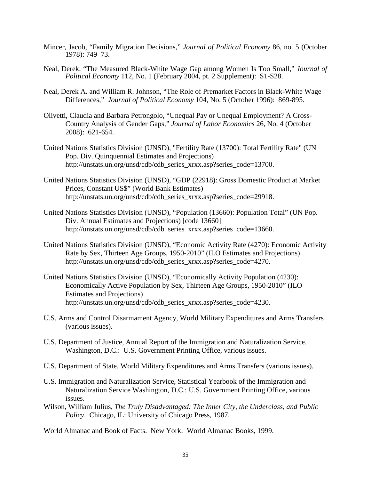- Mincer, Jacob, "Family Migration Decisions," *Journal of Political Economy* 86, no. 5 (October 1978): 749–73.
- Neal, Derek, "The Measured Black-White Wage Gap among Women Is Too Small," *Journal of Political Economy* 112, No. 1 (February 2004, pt. 2 Supplement): S1-S28.
- Neal, Derek A. and William R. Johnson, "The Role of Premarket Factors in Black-White Wage Differences," *Journal of Political Economy* 104, No. 5 (October 1996): 869-895.
- Olivetti, Claudia and Barbara Petrongolo, "Unequal Pay or Unequal Employment? A Cross-Country Analysis of Gender Gaps," *Journal of Labor Economics* 26, No. 4 (October 2008): 621-654.
- United Nations Statistics Division (UNSD), "Fertility Rate (13700): Total Fertility Rate" (UN Pop. Div. Quinquennial Estimates and Projections) http://unstats.un.org/unsd/cdb/cdb\_series\_xrxx.asp?series\_code=13700.
- United Nations Statistics Division (UNSD), "GDP (22918): Gross Domestic Product at Market Prices, Constant US\$" (World Bank Estimates) http://unstats.un.org/unsd/cdb/cdb\_series\_xrxx.asp?series\_code=29918.
- United Nations Statistics Division (UNSD), "Population (13660): Population Total" (UN Pop. Div. Annual Estimates and Projections) [code 13660] http://unstats.un.org/unsd/cdb/cdb\_series\_xrxx.asp?series\_code=13660.
- United Nations Statistics Division (UNSD), "Economic Activity Rate (4270): Economic Activity Rate by Sex, Thirteen Age Groups, 1950-2010" (ILO Estimates and Projections) http://unstats.un.org/unsd/cdb/cdb\_series\_xrxx.asp?series\_code=4270.
- United Nations Statistics Division (UNSD), "Economically Activity Population (4230): Economically Active Population by Sex, Thirteen Age Groups, 1950-2010" (ILO Estimates and Projections) http://unstats.un.org/unsd/cdb/cdb\_series\_xrxx.asp?series\_code=4230.
- U.S. Arms and Control Disarmament Agency, World Military Expenditures and Arms Transfers (various issues).
- U.S. Department of Justice, Annual Report of the Immigration and Naturalization Service. Washington, D.C.: U.S. Government Printing Office, various issues.
- U.S. Department of State, World Military Expenditures and Arms Transfers (various issues).
- U.S. Immigration and Naturalization Service, Statistical Yearbook of the Immigration and Naturalization Service Washington, D.C.: U.S. Government Printing Office, various issues.
- Wilson, William Julius, *The Truly Disadvantaged: The Inner City, the Underclass, and Public Policy*. Chicago, IL: University of Chicago Press, 1987.
- World Almanac and Book of Facts. New York: World Almanac Books, 1999.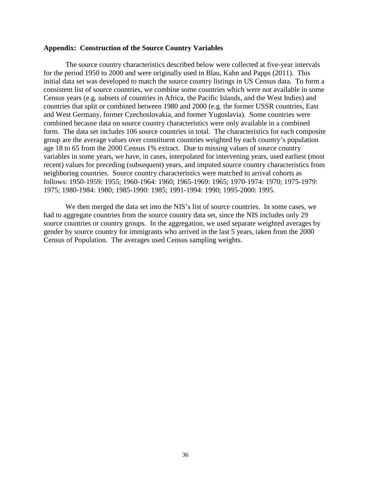### **Appendix: Construction of the Source Country Variables**

The source country characteristics described below were collected at five-year intervals for the period 1950 to 2000 and were originally used in Blau, Kahn and Papps (2011). This initial data set was developed to match the source country listings in US Census data. To form a consistent list of source countries, we combine some countries which were not available in some Census years (e.g. subsets of countries in Africa, the Pacific Islands, and the West Indies) and countries that split or combined between 1980 and 2000 (e.g. the former USSR countries, East and West Germany, former Czechoslovakia, and former Yugoslavia). Some countries were combined because data on source country characteristics were only available in a combined form. The data set includes 106 source countries in total. The characteristics for each composite group are the average values over constituent countries weighted by each country's population age 18 to 65 from the 2000 Census 1% extract. Due to missing values of source country variables in some years, we have, in cases, interpolated for intervening years, used earliest (most recent) values for preceding (subsequent) years, and imputed source country characteristics from neighboring countries. Source country characteristics were matched to arrival cohorts as follows: 1950-1959: 1955; 1960-1964: 1960; 1965-1969: 1965; 1970-1974: 1970; 1975-1979: 1975; 1980-1984: 1980; 1985-1990: 1985; 1991-1994: 1990; 1995-2000: 1995.

We then merged the data set into the NIS's list of source countries. In some cases, we had to aggregate countries from the source country data set, since the NIS includes only 29 source countries or country groups. In the aggregation, we used separate weighted averages by gender by source country for immigrants who arrived in the last 5 years, taken from the 2000 Census of Population. The averages used Census sampling weights.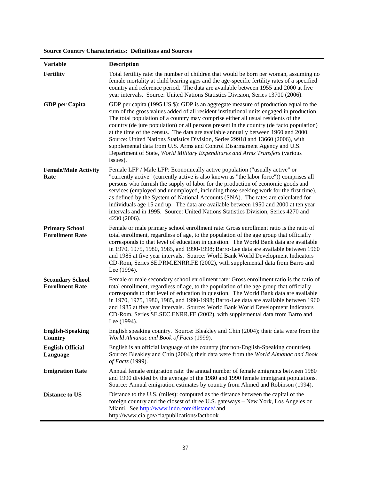| <b>Source Country Characteristics: Definitions and Sources</b> |
|----------------------------------------------------------------|
|----------------------------------------------------------------|

| <b>Variable</b>                                   | <b>Description</b>                                                                                                                                                                                                                                                                                                                                                                                                                                                                                                                                                                                                                                                                                              |
|---------------------------------------------------|-----------------------------------------------------------------------------------------------------------------------------------------------------------------------------------------------------------------------------------------------------------------------------------------------------------------------------------------------------------------------------------------------------------------------------------------------------------------------------------------------------------------------------------------------------------------------------------------------------------------------------------------------------------------------------------------------------------------|
| <b>Fertility</b>                                  | Total fertility rate: the number of children that would be born per woman, assuming no<br>female mortality at child bearing ages and the age-specific fertility rates of a specified<br>country and reference period. The data are available between 1955 and 2000 at five<br>year intervals. Source: United Nations Statistics Division, Series 13700 (2006).                                                                                                                                                                                                                                                                                                                                                  |
| <b>GDP</b> per Capita                             | GDP per capita (1995 US \$): GDP is an aggregate measure of production equal to the<br>sum of the gross values added of all resident institutional units engaged in production.<br>The total population of a country may comprise either all usual residents of the<br>country (de jure population) or all persons present in the country (de facto population)<br>at the time of the census. The data are available annually between 1960 and 2000.<br>Source: United Nations Statistics Division, Series 29918 and 13660 (2006), with<br>supplemental data from U.S. Arms and Control Disarmament Agency and U.S.<br>Department of State, World Military Expenditures and Arms Transfers (various<br>issues). |
| <b>Female/Male Activity</b><br>Rate               | Female LFP / Male LFP: Economically active population ("usually active" or<br>"currently active" (currently active is also known as "the labor force")) comprises all<br>persons who furnish the supply of labor for the production of economic goods and<br>services (employed and unemployed, including those seeking work for the first time),<br>as defined by the System of National Accounts (SNA). The rates are calculated for<br>individuals age 15 and up. The data are available between 1950 and 2000 at ten year<br>intervals and in 1995. Source: United Nations Statistics Division, Series 4270 and<br>4230 (2006).                                                                             |
| <b>Primary School</b><br><b>Enrollment Rate</b>   | Female or male primary school enrollment rate: Gross enrollment ratio is the ratio of<br>total enrollment, regardless of age, to the population of the age group that officially<br>corresponds to that level of education in question. The World Bank data are available<br>in 1970, 1975, 1980, 1985, and 1990-1998; Barro-Lee data are available between 1960<br>and 1985 at five year intervals. Source: World Bank World Development Indicators<br>CD-Rom, Series SE.PRM.ENRR.FE (2002), with supplemental data from Barro and<br>Lee (1994).                                                                                                                                                              |
| <b>Secondary School</b><br><b>Enrollment Rate</b> | Female or male secondary school enrollment rate: Gross enrollment ratio is the ratio of<br>total enrollment, regardless of age, to the population of the age group that officially<br>corresponds to that level of education in question. The World Bank data are available<br>in 1970, 1975, 1980, 1985, and 1990-1998; Barro-Lee data are available between 1960<br>and 1985 at five year intervals. Source: World Bank World Development Indicators<br>CD-Rom, Series SE.SEC.ENRR.FE (2002), with supplemental data from Barro and<br>Lee (1994).                                                                                                                                                            |
| <b>English-Speaking</b><br>Country                | English speaking country. Source: Bleakley and Chin (2004); their data were from the<br>World Almanac and Book of Facts (1999).                                                                                                                                                                                                                                                                                                                                                                                                                                                                                                                                                                                 |
| <b>English Official</b><br>Language               | English is an official language of the country (for non-English-Speaking countries).<br>Source: Bleakley and Chin (2004); their data were from the World Almanac and Book<br>of Facts (1999).                                                                                                                                                                                                                                                                                                                                                                                                                                                                                                                   |
| <b>Emigration Rate</b>                            | Annual female emigration rate: the annual number of female emigrants between 1980<br>and 1990 divided by the average of the 1980 and 1990 female immigrant populations.<br>Source: Annual emigration estimates by country from Ahmed and Robinson (1994).                                                                                                                                                                                                                                                                                                                                                                                                                                                       |
| <b>Distance to US</b>                             | Distance to the U.S. (miles): computed as the distance between the capital of the<br>foreign country and the closest of three U.S. gateways – New York, Los Angeles or<br>Miami. See http://www.indo.com/distance/ and<br>http://www.cia.gov/cia/publications/factbook                                                                                                                                                                                                                                                                                                                                                                                                                                          |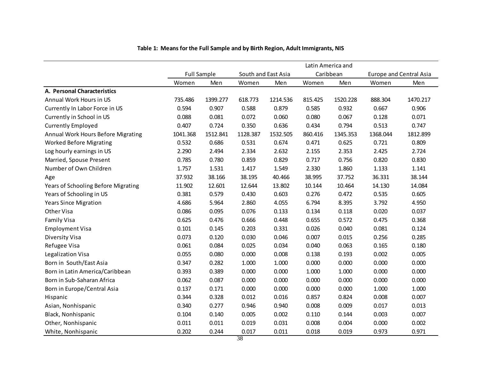|                                     |          |                    |          |                     |         | Latin America and |          |                         |
|-------------------------------------|----------|--------------------|----------|---------------------|---------|-------------------|----------|-------------------------|
|                                     |          | <b>Full Sample</b> |          | South and East Asia |         | Caribbean         |          | Europe and Central Asia |
|                                     | Women    | Men                | Women    | Men                 | Women   | Men               | Women    | Men                     |
| A. Personal Characteristics         |          |                    |          |                     |         |                   |          |                         |
| Annual Work Hours in US             | 735.486  | 1399.277           | 618.773  | 1214.536            | 815.425 | 1520.228          | 888.304  | 1470.217                |
| Currently In Labor Force in US      | 0.594    | 0.907              | 0.588    | 0.879               | 0.585   | 0.932             | 0.667    | 0.906                   |
| Currently in School in US           | 0.088    | 0.081              | 0.072    | 0.060               | 0.080   | 0.067             | 0.128    | 0.071                   |
| <b>Currently Employed</b>           | 0.407    | 0.724              | 0.350    | 0.636               | 0.434   | 0.794             | 0.513    | 0.747                   |
| Annual Work Hours Before Migrating  | 1041.368 | 1512.841           | 1128.387 | 1532.505            | 860.416 | 1345.353          | 1368.044 | 1812.899                |
| <b>Worked Before Migrating</b>      | 0.532    | 0.686              | 0.531    | 0.674               | 0.471   | 0.625             | 0.721    | 0.809                   |
| Log hourly earnings in US           | 2.290    | 2.494              | 2.334    | 2.632               | 2.155   | 2.353             | 2.425    | 2.724                   |
| Married, Spouse Present             | 0.785    | 0.780              | 0.859    | 0.829               | 0.717   | 0.756             | 0.820    | 0.830                   |
| Number of Own Children              | 1.757    | 1.531              | 1.417    | 1.549               | 2.330   | 1.860             | 1.133    | 1.141                   |
| Age                                 | 37.932   | 38.166             | 38.195   | 40.466              | 38.995  | 37.752            | 36.331   | 38.144                  |
| Years of Schooling Before Migrating | 11.902   | 12.601             | 12.644   | 13.802              | 10.144  | 10.464            | 14.130   | 14.084                  |
| Years of Schooling in US            | 0.381    | 0.579              | 0.430    | 0.603               | 0.276   | 0.472             | 0.535    | 0.605                   |
| <b>Years Since Migration</b>        | 4.686    | 5.964              | 2.860    | 4.055               | 6.794   | 8.395             | 3.792    | 4.950                   |
| Other Visa                          | 0.086    | 0.095              | 0.076    | 0.133               | 0.134   | 0.118             | 0.020    | 0.037                   |
| Family Visa                         | 0.625    | 0.476              | 0.666    | 0.448               | 0.655   | 0.572             | 0.475    | 0.368                   |
| <b>Employment Visa</b>              | 0.101    | 0.145              | 0.203    | 0.331               | 0.026   | 0.040             | 0.081    | 0.124                   |
| <b>Diversity Visa</b>               | 0.073    | 0.120              | 0.030    | 0.046               | 0.007   | 0.015             | 0.256    | 0.285                   |
| Refugee Visa                        | 0.061    | 0.084              | 0.025    | 0.034               | 0.040   | 0.063             | 0.165    | 0.180                   |
| Legalization Visa                   | 0.055    | 0.080              | 0.000    | 0.008               | 0.138   | 0.193             | 0.002    | 0.005                   |
| Born in South/East Asia             | 0.347    | 0.282              | 1.000    | 1.000               | 0.000   | 0.000             | 0.000    | 0.000                   |
| Born in Latin America/Caribbean     | 0.393    | 0.389              | 0.000    | 0.000               | 1.000   | 1.000             | 0.000    | 0.000                   |
| Born in Sub-Saharan Africa          | 0.062    | 0.087              | 0.000    | 0.000               | 0.000   | 0.000             | 0.000    | 0.000                   |
| Born in Europe/Central Asia         | 0.137    | 0.171              | 0.000    | 0.000               | 0.000   | 0.000             | 1.000    | 1.000                   |
| Hispanic                            | 0.344    | 0.328              | 0.012    | 0.016               | 0.857   | 0.824             | 0.008    | 0.007                   |
| Asian, Nonhispanic                  | 0.340    | 0.277              | 0.946    | 0.940               | 0.008   | 0.009             | 0.017    | 0.013                   |
| Black, Nonhispanic                  | 0.104    | 0.140              | 0.005    | 0.002               | 0.110   | 0.144             | 0.003    | 0.007                   |
| Other, Nonhispanic                  | 0.011    | 0.011              | 0.019    | 0.031               | 0.008   | 0.004             | 0.000    | 0.002                   |
| White, Nonhispanic                  | 0.202    | 0.244              | 0.017    | 0.011               | 0.018   | 0.019             | 0.973    | 0.971                   |

# **Table 1: Means for the Full Sample and by Birth Region, Adult Immigrants, NIS**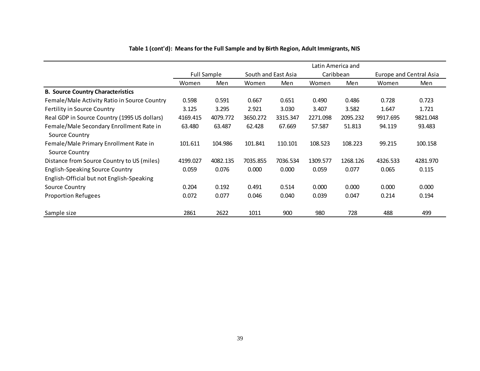|                                                            |                    |          |                     |          | Latin America and |          |                                |          |
|------------------------------------------------------------|--------------------|----------|---------------------|----------|-------------------|----------|--------------------------------|----------|
|                                                            | <b>Full Sample</b> |          | South and East Asia |          | Caribbean         |          | <b>Europe and Central Asia</b> |          |
|                                                            | Women              | Men      | Women               | Men      | Women             | Men      | Women                          | Men      |
| <b>B. Source Country Characteristics</b>                   |                    |          |                     |          |                   |          |                                |          |
| Female/Male Activity Ratio in Source Country               | 0.598              | 0.591    | 0.667               | 0.651    | 0.490             | 0.486    | 0.728                          | 0.723    |
| <b>Fertility in Source Country</b>                         | 3.125              | 3.295    | 2.921               | 3.030    | 3.407             | 3.582    | 1.647                          | 1.721    |
| Real GDP in Source Country (1995 US dollars)               | 4169.415           | 4079.772 | 3650.272            | 3315.347 | 2271.098          | 2095.232 | 9917.695                       | 9821.048 |
| Female/Male Secondary Enrollment Rate in<br>Source Country | 63.480             | 63.487   | 62.428              | 67.669   | 57.587            | 51.813   | 94.119                         | 93.483   |
| Female/Male Primary Enrollment Rate in<br>Source Country   | 101.611            | 104.986  | 101.841             | 110.101  | 108.523           | 108.223  | 99.215                         | 100.158  |
| Distance from Source Country to US (miles)                 | 4199.027           | 4082.135 | 7035.855            | 7036.534 | 1309.577          | 1268.126 | 4326.533                       | 4281.970 |
| <b>English-Speaking Source Country</b>                     | 0.059              | 0.076    | 0.000               | 0.000    | 0.059             | 0.077    | 0.065                          | 0.115    |
| English-Official but not English-Speaking                  |                    |          |                     |          |                   |          |                                |          |
| Source Country                                             | 0.204              | 0.192    | 0.491               | 0.514    | 0.000             | 0.000    | 0.000                          | 0.000    |
| <b>Proportion Refugees</b>                                 | 0.072              | 0.077    | 0.046               | 0.040    | 0.039             | 0.047    | 0.214                          | 0.194    |
| Sample size                                                | 2861               | 2622     | 1011                | 900      | 980               | 728      | 488                            | 499      |

# **Table 1 (cont'd): Means for the Full Sample and by Birth Region, Adult Immigrants, NIS**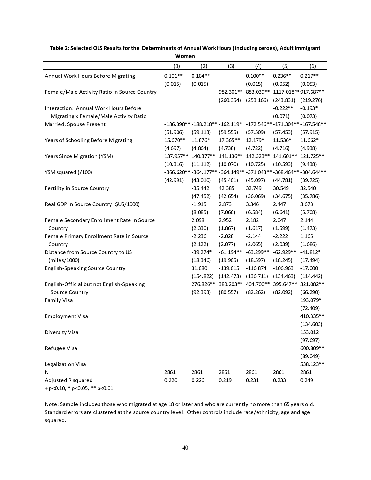|                                              | ,,,,,,,,, |                                   |             |                     |                        |                                                              |
|----------------------------------------------|-----------|-----------------------------------|-------------|---------------------|------------------------|--------------------------------------------------------------|
|                                              | (1)       | (2)                               | (3)         | (4)                 | (5)                    | (6)                                                          |
| Annual Work Hours Before Migrating           | $0.101**$ | $0.104**$                         |             | $0.100**$           | $0.236**$              | $0.217**$                                                    |
|                                              | (0.015)   | (0.015)                           |             | (0.015)             | (0.052)                | (0.053)                                                      |
| Female/Male Activity Ratio in Source Country |           |                                   |             | 982.301** 883.039** |                        | 1117.018 ** 917.687 **                                       |
|                                              |           |                                   | (260.354)   | (253.166)           | (243.831)              | (219.276)                                                    |
| Interaction: Annual Work Hours Before        |           |                                   |             |                     | $-0.222**$             | $-0.193*$                                                    |
| Migrating x Female/Male Activity Ratio       |           |                                   |             |                     | (0.071)                | (0.073)                                                      |
| Married, Spouse Present                      |           | $-186.398** -188.218** -162.119*$ |             |                     | $-172.546**-171.304**$ | $-167.548**$                                                 |
|                                              | (51.906)  | (59.113)                          | (59.555)    | (57.509)            | (57.453)               | (57.915)                                                     |
| Years of Schooling Before Migrating          | 15.670**  | 11.876*                           | 17.365**    | 12.179*             | 11.536*                | 11.662*                                                      |
|                                              | (4.697)   | (4.864)                           | (4.738)     | (4.722)             | (4.716)                | (4.938)                                                      |
| Years Since Migration (YSM)                  | 137.957** | 140.377**                         | 141.136**   | 142.323**           | 141.601**              | 121.725**                                                    |
|                                              | (10.316)  | (11.112)                          | (10.070)    | (10.725)            | (10.593)               | (9.438)                                                      |
| YSM squared (/100)                           |           |                                   |             |                     |                        | -366.620**-364.177**-364.149**-371.043**-368.464**-304.644** |
|                                              | (42.991)  | (43.010)                          | (45.401)    | (45.097)            | (44.781)               | (39.725)                                                     |
| Fertility in Source Country                  |           | $-35.442$                         | 42.385      | 32.749              | 30.549                 | 32.540                                                       |
|                                              |           | (47.452)                          | (42.654)    | (36.069)            | (34.675)               | (35.786)                                                     |
| Real GDP in Source Country (\$US/1000)       |           | $-1.915$                          | 2.873       | 3.346               | 2.447                  | 3.673                                                        |
|                                              |           | (8.085)                           | (7.066)     | (6.584)             | (6.641)                | (5.708)                                                      |
| Female Secondary Enrollment Rate in Source   |           | 2.098                             | 2.952       | 2.182               | 2.047                  | 2.144                                                        |
| Country                                      |           | (2.330)                           | (1.867)     | (1.617)             | (1.599)                | (1.473)                                                      |
| Female Primary Enrollment Rate in Source     |           | $-2.236$                          | $-2.028$    | $-2.144$            | $-2.222$               | 1.165                                                        |
| Country                                      |           | (2.122)                           | (2.077)     | (2.065)             | (2.039)                | (1.686)                                                      |
| Distance from Source Country to US           |           | $-39.274*$                        | $-61.194**$ | $-63.299**$         | $-62.929**$            | $-41.812*$                                                   |
| (miles/1000)                                 |           | (18.346)                          | (19.905)    | (18.597)            | (18.245)               | (17.494)                                                     |
| English-Speaking Source Country              |           | 31.080                            | $-139.015$  | $-116.874$          | $-106.963$             | $-17.000$                                                    |
|                                              |           | (154.822)                         | (142.473)   | (136.711)           | (134.463)              | (114.442)                                                    |
| English-Official but not English-Speaking    |           | 276.826**                         | 380.203**   | 404.700**           | 395.647**              | 321.082**                                                    |
| Source Country                               |           | (92.393)                          | (80.557)    | (82.262)            | (82.092)               | (66.290)                                                     |
| <b>Family Visa</b>                           |           |                                   |             |                     |                        | 193.079*                                                     |
|                                              |           |                                   |             |                     |                        | (72.409)                                                     |
| <b>Employment Visa</b>                       |           |                                   |             |                     |                        | 410.335**                                                    |
|                                              |           |                                   |             |                     |                        | (134.603)                                                    |
| Diversity Visa                               |           |                                   |             |                     |                        | 153.012                                                      |
|                                              |           |                                   |             |                     |                        | (97.697)                                                     |
| Refugee Visa                                 |           |                                   |             |                     |                        | 600.809**                                                    |
|                                              |           |                                   |             |                     |                        | (89.049)                                                     |
| Legalization Visa                            |           |                                   |             |                     |                        | 538.123**                                                    |
| N                                            | 2861      | 2861                              | 2861        | 2861                | 2861                   | 2861                                                         |
| Adjusted R squared                           | 0.220     | 0.226                             | 0.219       | 0.231               | 0.233                  | 0.249                                                        |

#### **Table 2: Selected OLS Results for the Determinants of Annual Work Hours (including zeroes), Adult Immigrant Women**

+ p<0.10, \* p<0.05, \*\* p<0.01

Note: Sample includes those who migrated at age 18 or later and who are currently no more than 65 years old. Standard errors are clustered at the source country level. Other controls include race/ethnicity, age and age squared.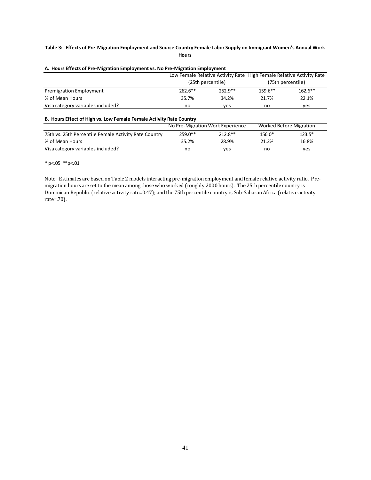### **Table 3: Effects of Pre-Migration Employment and Source Country Female Labor Supply on Immigrant Women's Annual Work Hours**

|                                   | Low Female Relative Activity Rate High Female Relative Activity Rate |           |           |                   |  |  |
|-----------------------------------|----------------------------------------------------------------------|-----------|-----------|-------------------|--|--|
|                                   | (25th percentile)                                                    |           |           | (75th percentile) |  |  |
| <b>Premigration Employment</b>    | $262.6***$                                                           | $252.9**$ | $159.6**$ | $162.6**$         |  |  |
| % of Mean Hours                   | 35.7%                                                                | 34.2%     | 21.7%     | 22.1%             |  |  |
| Visa category variables included? | no                                                                   | ves       | no        | ves               |  |  |

### **A. Hours Effects of Pre-Migration Employment vs. No Pre-Migration Employment**

### **B. Hours Effect of High vs. Low Female Female Activity Rate Country**

|                                                       |           | No Pre-Migration Work Experience | <b>Worked Before Migration</b> |          |  |
|-------------------------------------------------------|-----------|----------------------------------|--------------------------------|----------|--|
| 75th vs. 25th Percentile Female Activity Rate Country | $259.0**$ | $212.8**$                        | 156.0*                         | $123.5*$ |  |
| % of Mean Hours                                       | 35.2%     | 28.9%                            | 21.2%                          | 16.8%    |  |
| Visa category variables included?                     | no        | ves                              | no                             | ves      |  |

\* p<.05 \*\*p<.01

Note: Estimates are based on Table 2 models interacting pre-migration employment and female relative activity ratio. Premigration hours are set to the mean among those who worked (roughly 2000 hours). The 25th percentile country is Dominican Republic (relative activity rate=0.47); and the 75th percentile country is Sub-Saharan Africa (relative activity rate=.70).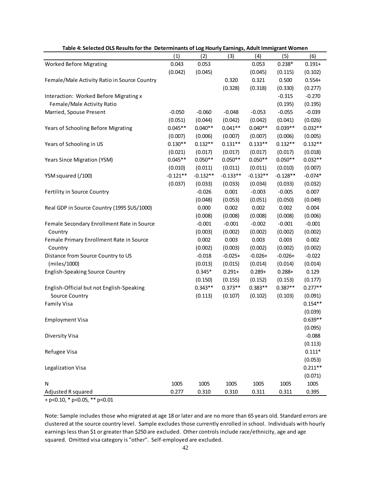|                                              | (1)        | (2)        | - 0-7<br>(3) | (4)        | (5)        | (6)       |
|----------------------------------------------|------------|------------|--------------|------------|------------|-----------|
| <b>Worked Before Migrating</b>               | 0.043      | 0.053      |              | 0.053      | $0.238*$   | $0.191 +$ |
|                                              | (0.042)    | (0.045)    |              | (0.045)    | (0.115)    | (0.102)   |
| Female/Male Activity Ratio in Source Country |            |            | 0.320        | 0.321      | 0.500      | $0.554+$  |
|                                              |            |            | (0.328)      | (0.318)    | (0.330)    | (0.277)   |
| Interaction: Worked Before Migrating x       |            |            |              |            | $-0.315$   | $-0.270$  |
| Female/Male Activity Ratio                   |            |            |              |            | (0.195)    | (0.195)   |
| Married, Spouse Present                      | $-0.050$   | $-0.060$   | $-0.048$     | $-0.053$   | $-0.055$   | $-0.039$  |
|                                              | (0.051)    | (0.044)    | (0.042)      | (0.042)    | (0.041)    | (0.026)   |
| Years of Schooling Before Migrating          | $0.045**$  | $0.040**$  | $0.041**$    | $0.040**$  | $0.039**$  | $0.032**$ |
|                                              | (0.007)    | (0.006)    | (0.007)      | (0.007)    | (0.006)    | (0.005)   |
| Years of Schooling in US                     | $0.130**$  | $0.132**$  | $0.131**$    | $0.133**$  | $0.132**$  | $0.132**$ |
|                                              | (0.021)    | (0.017)    | (0.017)      | (0.017)    | (0.017)    | (0.018)   |
| Years Since Migration (YSM)                  | $0.045**$  | $0.050**$  | $0.050**$    | $0.050**$  | $0.050**$  | $0.032**$ |
|                                              | (0.010)    | (0.011)    | (0.011)      | (0.011)    | (0.010)    | (0.007)   |
| YSM squared (/100)                           | $-0.121**$ | $-0.132**$ | $-0.133**$   | $-0.132**$ | $-0.128**$ | $-0.074*$ |
|                                              | (0.037)    | (0.033)    | (0.033)      | (0.034)    | (0.033)    | (0.032)   |
| Fertility in Source Country                  |            | $-0.026$   | 0.001        | $-0.003$   | $-0.005$   | 0.007     |
|                                              |            | (0.048)    | (0.053)      | (0.051)    | (0.050)    | (0.049)   |
| Real GDP in Source Country (1995 \$US/1000)  |            | 0.000      | 0.002        | 0.002      | 0.002      | 0.004     |
|                                              |            | (0.008)    | (0.008)      | (0.008)    | (0.008)    | (0.006)   |
| Female Secondary Enrollment Rate in Source   |            | $-0.001$   | $-0.001$     | $-0.002$   | $-0.001$   | $-0.001$  |
| Country                                      |            | (0.003)    | (0.002)      | (0.002)    | (0.002)    | (0.002)   |
| Female Primary Enrollment Rate in Source     |            | 0.002      | 0.003        | 0.003      | 0.003      | 0.002     |
| Country                                      |            | (0.002)    | (0.003)      | (0.002)    | (0.002)    | (0.002)   |
| Distance from Source Country to US           |            | $-0.018$   | $-0.025+$    | $-0.026+$  | $-0.026+$  | $-0.022$  |
| (miles/1000)                                 |            | (0.013)    | (0.015)      | (0.014)    | (0.014)    | (0.014)   |
| English-Speaking Source Country              |            | $0.345*$   | $0.291 +$    | $0.289 +$  | $0.288 +$  | 0.129     |
|                                              |            | (0.150)    | (0.155)      | (0.152)    | (0.153)    | (0.177)   |
| English-Official but not English-Speaking    |            | $0.343**$  | $0.373**$    | $0.383**$  | $0.387**$  | $0.277**$ |
| Source Country                               |            | (0.113)    | (0.107)      | (0.102)    | (0.103)    | (0.091)   |
| <b>Family Visa</b>                           |            |            |              |            |            | $0.154**$ |
|                                              |            |            |              |            |            | (0.039)   |
| <b>Employment Visa</b>                       |            |            |              |            |            | $0.639**$ |
|                                              |            |            |              |            |            | (0.095)   |
| Diversity Visa                               |            |            |              |            |            | $-0.088$  |
|                                              |            |            |              |            |            | (0.113)   |
| Refugee Visa                                 |            |            |              |            |            | $0.111*$  |
|                                              |            |            |              |            |            | (0.053)   |
| Legalization Visa                            |            |            |              |            |            | $0.211**$ |
|                                              |            |            |              |            |            | (0.071)   |
| N                                            | 1005       | 1005       | 1005         | 1005       | 1005       | 1005      |
| Adjusted R squared                           | 0.277      | 0.310      | 0.310        | 0.311      | 0.311      | 0.395     |

### **Table 4: Selected OLS Results for the Determinants of Log Hourly Earnings, Adult Immigrant Women**

+ p<0.10, \* p<0.05, \*\* p<0.01

Note: Sample includes those who migrated at age 18 or later and are no more than 65 years old. Standard errors are clustered at the source country level. Sample excludes those currently enrolled in school. Individuals with hourly earnings less than \$1 or greater than \$250 are excluded. Other controls include race/ethnicity, age and age squared. Omitted visa category is "other". Self-employed are excluded.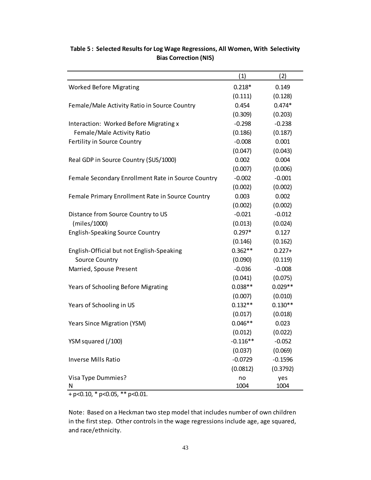|                                                    | (1)        | (2)       |
|----------------------------------------------------|------------|-----------|
| <b>Worked Before Migrating</b>                     | $0.218*$   | 0.149     |
|                                                    | (0.111)    | (0.128)   |
| Female/Male Activity Ratio in Source Country       | 0.454      | $0.474*$  |
|                                                    | (0.309)    | (0.203)   |
| Interaction: Worked Before Migrating x             | $-0.298$   | $-0.238$  |
| Female/Male Activity Ratio                         | (0.186)    | (0.187)   |
| Fertility in Source Country                        | $-0.008$   | 0.001     |
|                                                    | (0.047)    | (0.043)   |
| Real GDP in Source Country (\$US/1000)             | 0.002      | 0.004     |
|                                                    | (0.007)    | (0.006)   |
| Female Secondary Enrollment Rate in Source Country | $-0.002$   | $-0.001$  |
|                                                    | (0.002)    | (0.002)   |
| Female Primary Enrollment Rate in Source Country   | 0.003      | 0.002     |
|                                                    | (0.002)    | (0.002)   |
| Distance from Source Country to US                 | $-0.021$   | $-0.012$  |
| (miles/1000)                                       | (0.013)    | (0.024)   |
| <b>English-Speaking Source Country</b>             | $0.297*$   | 0.127     |
|                                                    | (0.146)    | (0.162)   |
| English-Official but not English-Speaking          | $0.362**$  | $0.227 +$ |
| <b>Source Country</b>                              | (0.090)    | (0.119)   |
| Married, Spouse Present                            | $-0.036$   | $-0.008$  |
|                                                    | (0.041)    | (0.075)   |
| Years of Schooling Before Migrating                | $0.038**$  | $0.029**$ |
|                                                    | (0.007)    | (0.010)   |
| Years of Schooling in US                           | $0.132**$  | $0.130**$ |
|                                                    | (0.017)    | (0.018)   |
| Years Since Migration (YSM)                        | $0.046**$  | 0.023     |
|                                                    | (0.012)    | (0.022)   |
| YSM squared (/100)                                 | $-0.116**$ | $-0.052$  |
|                                                    | (0.037)    | (0.069)   |
| <b>Inverse Mills Ratio</b>                         | $-0.0729$  | $-0.1596$ |
|                                                    | (0.0812)   | (0.3792)  |
| Visa Type Dummies?                                 | no         | yes       |
| N                                                  | 1004       | 1004      |

# **Table 5 : Selected Results for Log Wage Regressions, All Women, With Selectivity Bias Correction (NIS)**

+ p<0.10, \* p<0.05, \*\* p<0.01.

Note: Based on a Heckman two step model that includes number of own children in the first step. Other controls in the wage regressions include age, age squared, and race/ethnicity.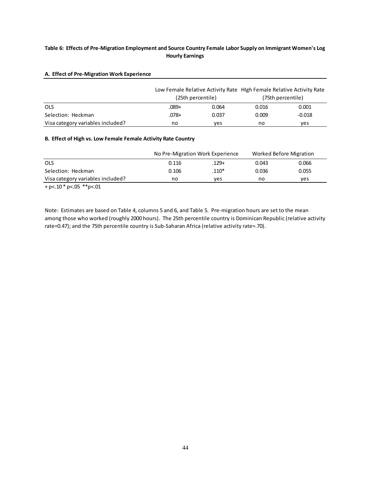# **Table 6: Effects of Pre-Migration Employment and Source Country Female Labor Supply on Immigrant Women's Log Hourly Earnings**

### **A. Effect of Pre-Migration Work Experience**

|                                   | (25th percentile) |       | Low Female Relative Activity Rate High Female Relative Activity Rate<br>(75th percentile) |          |  |
|-----------------------------------|-------------------|-------|-------------------------------------------------------------------------------------------|----------|--|
| <b>OLS</b>                        | .089+             | 0.064 | 0.016                                                                                     | 0.001    |  |
| Selection: Heckman                | .078+             | 0.037 | 0.009                                                                                     | $-0.018$ |  |
| Visa category variables included? | no                | ves   | no                                                                                        | yes      |  |

### **B. Effect of High vs. Low Female Female Activity Rate Country**

|                                   |       | No Pre-Migration Work Experience | Worked Before Migration |       |
|-----------------------------------|-------|----------------------------------|-------------------------|-------|
| OLS                               | 0.116 | $.129 +$                         | 0.043                   | 0.066 |
| Selection: Heckman                | 0.106 | $.110*$                          | 0.036                   | 0.055 |
| Visa category variables included? | no    | ves                              | no                      | ves   |
|                                   |       |                                  |                         |       |

 $+ p < 10 * p < 05 * p < 01$ 

Note: Estimates are based on Table 4, columns 5 and 6, and Table 5. Pre-migration hours are set to the mean among those who worked (roughly 2000 hours). The 25th percentile country is Dominican Republic (relative activity rate=0.47); and the 75th percentile country is Sub-Saharan Africa (relative activity rate=.70).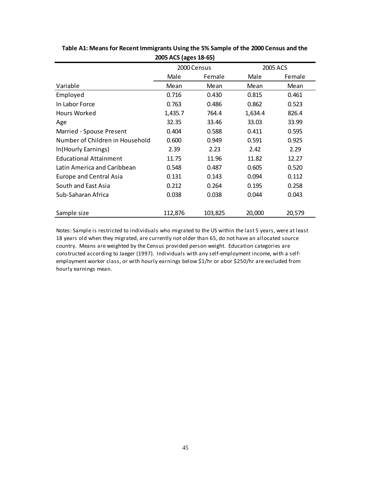|                                 | 2000 Census |         |         | 2005 ACS |
|---------------------------------|-------------|---------|---------|----------|
|                                 | Male        | Female  | Male    | Female   |
| Variable                        | Mean        | Mean    | Mean    | Mean     |
| Employed                        | 0.716       | 0.430   | 0.815   | 0.461    |
| In Labor Force                  | 0.763       | 0.486   | 0.862   | 0.523    |
| Hours Worked                    | 1,435.7     | 764.4   | 1,634.4 | 826.4    |
| Age                             | 32.35       | 33.46   | 33.03   | 33.99    |
| Married - Spouse Present        | 0.404       | 0.588   | 0.411   | 0.595    |
| Number of Children in Household | 0.600       | 0.949   | 0.591   | 0.925    |
| In(Hourly Earnings)             | 2.39        | 2.23    | 2.42    | 2.29     |
| <b>Educational Attainment</b>   | 11.75       | 11.96   | 11.82   | 12.27    |
| Latin America and Caribbean     | 0.548       | 0.487   | 0.605   | 0.520    |
| Europe and Central Asia         | 0.131       | 0.143   | 0.094   | 0.112    |
| South and East Asia             | 0.212       | 0.264   | 0.195   | 0.258    |
| Sub-Saharan Africa              | 0.038       | 0.038   | 0.044   | 0.043    |
|                                 |             |         |         |          |
| Sample size                     | 112,876     | 103,825 | 20,000  | 20,579   |

**Table A1: Means for Recent Immigrants Using the 5% Sample of the 2000 Census and the 2005 ACS (ages 18-65)**

Notes: Sample is restricted to individuals who migrated to the US within the last 5 years, were at least 18 years old when they migrated, are currently not older than 65, do not have an allocated source country. Means are weighted by the Census provided person weight. Education categories are constructed according to Jaeger (1997). Individuals with any self-employment income, with a selfemployment worker class, or with hourly earnings below \$1/hr or abor \$250/hr are excluded from hourly earnings mean.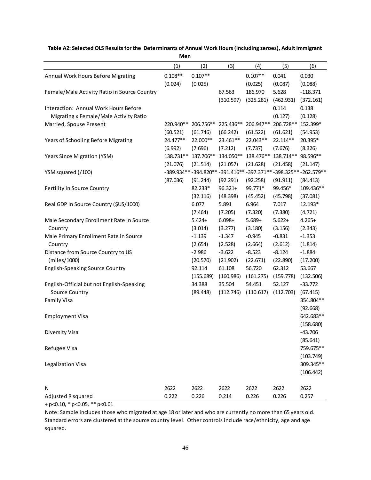| men                                          |           |           |            |           |           |                                                              |  |
|----------------------------------------------|-----------|-----------|------------|-----------|-----------|--------------------------------------------------------------|--|
|                                              | (1)       | (2)       | (3)        | (4)       | (5)       | (6)                                                          |  |
| Annual Work Hours Before Migrating           | $0.108**$ | $0.107**$ |            | $0.107**$ | 0.041     | 0.030                                                        |  |
|                                              | (0.024)   | (0.025)   |            | (0.025)   | (0.087)   | (0.088)                                                      |  |
| Female/Male Activity Ratio in Source Country |           |           | 67.563     | 186.970   | 5.628     | $-118.371$                                                   |  |
|                                              |           |           | (310.597)  | (325.281) | (462.931) | (372.161)                                                    |  |
| Interaction: Annual Work Hours Before        |           |           |            |           | 0.114     | 0.138                                                        |  |
| Migrating x Female/Male Activity Ratio       |           |           |            |           | (0.127)   | (0.128)                                                      |  |
| Married, Spouse Present                      | 220.940** | 206.756** | 225.436**  | 206.947** | 206.728** | 152.399*                                                     |  |
|                                              | (60.521)  | (61.746)  | (66.242)   | (61.522)  | (61.621)  | (54.953)                                                     |  |
| Years of Schooling Before Migrating          | 24.477**  | 22.000**  | 23.461**   | 22.043**  | 22.114**  | 20.395*                                                      |  |
|                                              | (6.992)   | (7.696)   | (7.212)    | (7.737)   | (7.676)   | (8.326)                                                      |  |
| Years Since Migration (YSM)                  | 138.731** | 137.706** | 134.050**  | 138.476** | 138.714** | 98.596**                                                     |  |
|                                              | (21.076)  | (21.514)  | (21.057)   | (21.628)  | (21.458)  | (21.147)                                                     |  |
| YSM squared (/100)                           |           |           |            |           |           | -389.934**-394.820**-391.416**-397.371**-398.325**-262.579** |  |
|                                              | (87.036)  | (91.244)  | (92.291)   | (92.258)  | (91.911)  | (84.413)                                                     |  |
| Fertility in Source Country                  |           | 82.233*   | $96.321 +$ | 99.771*   | 99.456*   | 109.436**                                                    |  |
|                                              |           | (32.116)  | (48.398)   | (45.452)  | (45.798)  | (37.081)                                                     |  |
| Real GDP in Source Country (\$US/1000)       |           | 6.077     | 5.891      | 6.964     | 7.017     | 12.193*                                                      |  |
|                                              |           | (7.464)   | (7.205)    | (7.320)   | (7.380)   | (4.721)                                                      |  |
| Male Secondary Enrollment Rate in Source     |           | $5.424+$  | $6.098 +$  | $5.689+$  | $5.622+$  | $4.265+$                                                     |  |
| Country                                      |           | (3.014)   | (3.277)    | (3.180)   | (3.156)   | (2.343)                                                      |  |
| Male Primary Enrollment Rate in Source       |           | $-1.139$  | $-1.347$   | $-0.945$  | $-0.831$  | $-1.353$                                                     |  |
| Country                                      |           | (2.654)   | (2.528)    | (2.664)   | (2.612)   | (1.814)                                                      |  |
| Distance from Source Country to US           |           | $-2.986$  | $-3.622$   | $-8.523$  | $-8.124$  | $-1.884$                                                     |  |
| (miles/1000)                                 |           | (20.570)  | (21.902)   | (22.671)  | (22.890)  | (17.200)                                                     |  |
| <b>English-Speaking Source Country</b>       |           | 92.114    | 61.108     | 56.720    | 62.312    | 53.667                                                       |  |
|                                              |           | (155.689) | (160.986)  | (161.275) | (159.778) | (132.506)                                                    |  |
| English-Official but not English-Speaking    |           | 34.388    | 35.504     | 54.451    | 52.127    | $-33.772$                                                    |  |
| Source Country                               |           | (89.448)  | (112.746)  | (110.617) | (112.703) | (67.415)                                                     |  |
| <b>Family Visa</b>                           |           |           |            |           |           | 354.804**                                                    |  |
|                                              |           |           |            |           |           | (92.668)                                                     |  |
| <b>Employment Visa</b>                       |           |           |            |           |           | 642.683**                                                    |  |
|                                              |           |           |            |           |           | (158.680)                                                    |  |
| Diversity Visa                               |           |           |            |           |           | $-43.706$                                                    |  |
|                                              |           |           |            |           |           | (85.641)                                                     |  |
| Refugee Visa                                 |           |           |            |           |           | 759.675**                                                    |  |
|                                              |           |           |            |           |           | (103.749)                                                    |  |
| Legalization Visa                            |           |           |            |           |           | 309.345**                                                    |  |
|                                              |           |           |            |           |           | (106.442)                                                    |  |
|                                              |           |           |            |           |           |                                                              |  |
| N                                            | 2622      | 2622      | 2622       | 2622      | 2622      | 2622                                                         |  |
| Adjusted R squared                           | 0.222     | 0.226     | 0.214      | 0.226     | 0.226     | 0.257                                                        |  |

#### **Table A2: Selected OLS Results for the Determinants of Annual Work Hours (including zeroes), Adult Immigrant Men**

 $+ p < 0.10, * p < 0.05, ** p < 0.01$ 

Note: Sample includes those who migrated at age 18 or later and who are currently no more than 65 years old. Standard errors are clustered at the source country level. Other controls include race/ethnicity, age and age squared.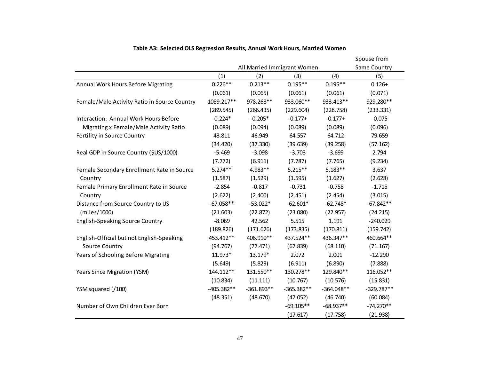|                                              | All Married Immigrant Women |              |              |              | Spouse from         |
|----------------------------------------------|-----------------------------|--------------|--------------|--------------|---------------------|
|                                              | (1)                         | (2)          | (3)          | (4)          | Same Country<br>(5) |
| Annual Work Hours Before Migrating           | $0.226**$                   | $0.213**$    | $0.195**$    | $0.195**$    | $0.126+$            |
|                                              | (0.061)                     | (0.065)      | (0.061)      | (0.061)      | (0.071)             |
| Female/Male Activity Ratio in Source Country | 1089.217**                  | 978.268**    | 933.060**    | 933.413**    | 929.280**           |
|                                              | (289.545)                   | (266.435)    | (229.604)    | (228.758)    | (233.331)           |
| Interaction: Annual Work Hours Before        | $-0.224*$                   | $-0.205*$    | $-0.177+$    | $-0.177+$    | $-0.075$            |
| Migrating x Female/Male Activity Ratio       | (0.089)                     | (0.094)      | (0.089)      | (0.089)      | (0.096)             |
| Fertility in Source Country                  | 43.811                      | 46.949       | 64.557       | 64.712       | 79.659              |
|                                              | (34.420)                    | (37.330)     | (39.639)     | (39.258)     | (57.162)            |
| Real GDP in Source Country (\$US/1000)       | $-5.469$                    | $-3.098$     | $-3.703$     | $-3.699$     | 2.794               |
|                                              | (7.772)                     | (6.911)      | (7.787)      | (7.765)      | (9.234)             |
| Female Secondary Enrollment Rate in Source   | $5.274**$                   | 4.983**      | $5.215***$   | $5.183**$    | 3.637               |
| Country                                      | (1.587)                     | (1.529)      | (1.595)      | (1.627)      | (2.628)             |
| Female Primary Enrollment Rate in Source     | $-2.854$                    | $-0.817$     | $-0.731$     | $-0.758$     | $-1.715$            |
| Country                                      | (2.622)                     | (2.400)      | (2.451)      | (2.454)      | (3.015)             |
| Distance from Source Country to US           | $-67.058**$                 | $-53.022*$   | $-62.601*$   | $-62.748*$   | $-67.842**$         |
| (miles/1000)                                 | (21.603)                    | (22.872)     | (23.080)     | (22.957)     | (24.215)            |
| <b>English-Speaking Source Country</b>       | $-8.069$                    | 42.562       | 5.515        | 1.191        | $-240.029$          |
|                                              | (189.826)                   | (171.626)    | (173.835)    | (170.811)    | (159.742)           |
| English-Official but not English-Speaking    | 453.412**                   | 406.910**    | 437.524**    | 436.347**    | 460.664**           |
| Source Country                               | (94.767)                    | (77.471)     | (67.839)     | (68.110)     | (71.167)            |
| Years of Schooling Before Migrating          | 11.973*                     | 13.179*      | 2.072        | 2.001        | $-12.290$           |
|                                              | (5.649)                     | (5.829)      | (6.911)      | (6.890)      | (7.888)             |
| Years Since Migration (YSM)                  | 144.112**                   | 131.550**    | 130.278**    | 129.840**    | 116.052**           |
|                                              | (10.834)                    | (11.111)     | (10.767)     | (10.576)     | (15.831)            |
| YSM squared (/100)                           | $-405.382**$                | $-361.893**$ | $-365.382**$ | $-364.048**$ | $-329.787**$        |
|                                              | (48.351)                    | (48.670)     | (47.052)     | (46.740)     | (60.084)            |
| Number of Own Children Ever Born             |                             |              | $-69.105**$  | $-68.937**$  | $-74.270**$         |
|                                              |                             |              | (17.617)     | (17.758)     | (21.938)            |

# **Table A3: Selected OLS Regression Results, Annual Work Hours, Married Women**